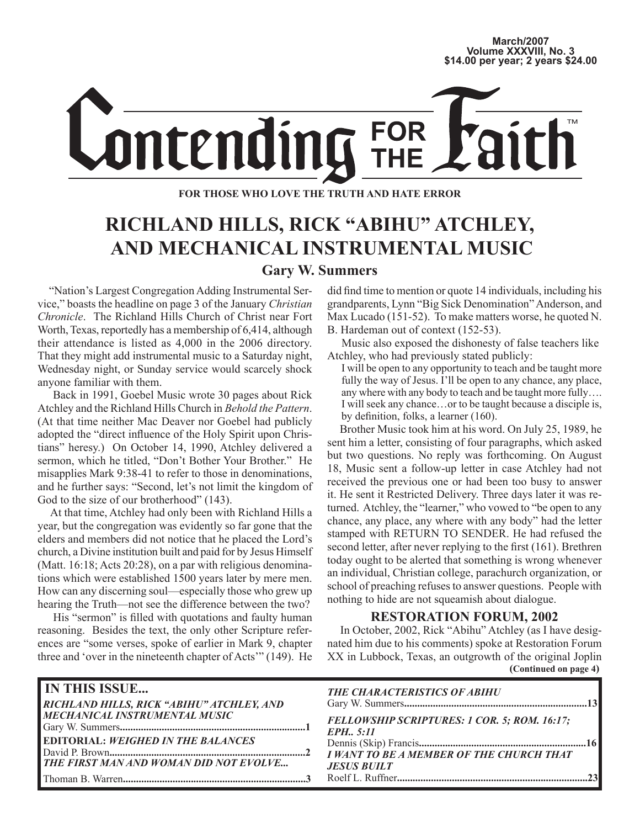### **March/2007 Volume XXXVIII, No. 3 \$14.00 per year; 2 years \$24.00**

# ontending FOR<br>TUE

**FOR THOSE WHO LOVE THE TRUTH AND HATE ERROR**

# **RICHLAND HILLS, RICK "ABIHU" ATCHLEY, AND MECHANICAL INSTRUMENTAL MUSIC**

**Gary W. Summers**

 "Nation's Largest Congregation Adding Instrumental Service," boasts the headline on page 3 of the January *Christian Chronicle*. The Richland Hills Church of Christ near Fort Worth, Texas, reportedly has a membership of 6,414, although their attendance is listed as 4,000 in the 2006 directory. That they might add instrumental music to a Saturday night, Wednesday night, or Sunday service would scarcely shock anyone familiar with them.

 Back in 1991, Goebel Music wrote 30 pages about Rick Atchley and the Richland Hills Church in *Behold the Pattern*. (At that time neither Mac Deaver nor Goebel had publicly adopted the "direct influence of the Holy Spirit upon Christians" heresy.) On October 14, 1990, Atchley delivered a sermon, which he titled, "Don't Bother Your Brother." He misapplies Mark 9:38-41 to refer to those in denominations, and he further says: "Second, let's not limit the kingdom of God to the size of our brotherhood" (143).

 At that time, Atchley had only been with Richland Hills a year, but the congregation was evidently so far gone that the elders and members did not notice that he placed the Lord's church, a Divine institution built and paid for by Jesus Himself (Matt. 16:18; Acts 20:28), on a par with religious denominations which were established 1500 years later by mere men. How can any discerning soul—especially those who grew up hearing the Truth—not see the difference between the two?

 His "sermon" is filled with quotations and faulty human reasoning. Besides the text, the only other Scripture references are "some verses, spoke of earlier in Mark 9, chapter three and 'over in the nineteenth chapter of Acts'" (149). He did find time to mention or quote 14 individuals, including his grandparents, Lynn "Big Sick Denomination" Anderson, and Max Lucado (151-52). To make matters worse, he quoted N. B. Hardeman out of context (152-53).

 Music also exposed the dishonesty of false teachers like Atchley, who had previously stated publicly:

I will be open to any opportunity to teach and be taught more fully the way of Jesus. I'll be open to any chance, any place, any where with any body to teach and be taught more fully…. I will seek any chance…or to be taught because a disciple is, by definition, folks, a learner (160).

 Brother Music took him at his word. On July 25, 1989, he sent him a letter, consisting of four paragraphs, which asked but two questions. No reply was forthcoming. On August 18, Music sent a follow-up letter in case Atchley had not received the previous one or had been too busy to answer it. He sent it Restricted Delivery. Three days later it was returned. Atchley, the "learner," who vowed to "be open to any chance, any place, any where with any body" had the letter stamped with RETURN TO SENDER. He had refused the second letter, after never replying to the first (161). Brethren today ought to be alerted that something is wrong whenever an individual, Christian college, parachurch organization, or school of preaching refuses to answer questions. People with nothing to hide are not squeamish about dialogue.

### **RESTORATION FORUM, 2002**

**(Continued on page 4)** In October, 2002, Rick "Abihu" Atchley (as I have designated him due to his comments) spoke at Restoration Forum XX in Lubbock, Texas, an outgrowth of the original Joplin

| <b>IN THIS ISSUE</b>                          | <b>THE CHARACTERISTICS OF ABIHU</b>                       |
|-----------------------------------------------|-----------------------------------------------------------|
| RICHLAND HILLS, RICK "ABIHU" ATCHLEY, AND     |                                                           |
| <b>MECHANICAL INSTRUMENTAL MUSIC</b>          | FELLOWSHIP SCRIPTURES: 1 COR. 5; ROM. 16:17;<br>EPH. 5:11 |
| <b>EDITORIAL: WEIGHED IN THE BALANCES</b>     |                                                           |
| <b>THE FIRST MAN AND WOMAN DID NOT EVOLVE</b> | <b>JESUS BUILT</b>                                        |
|                                               |                                                           |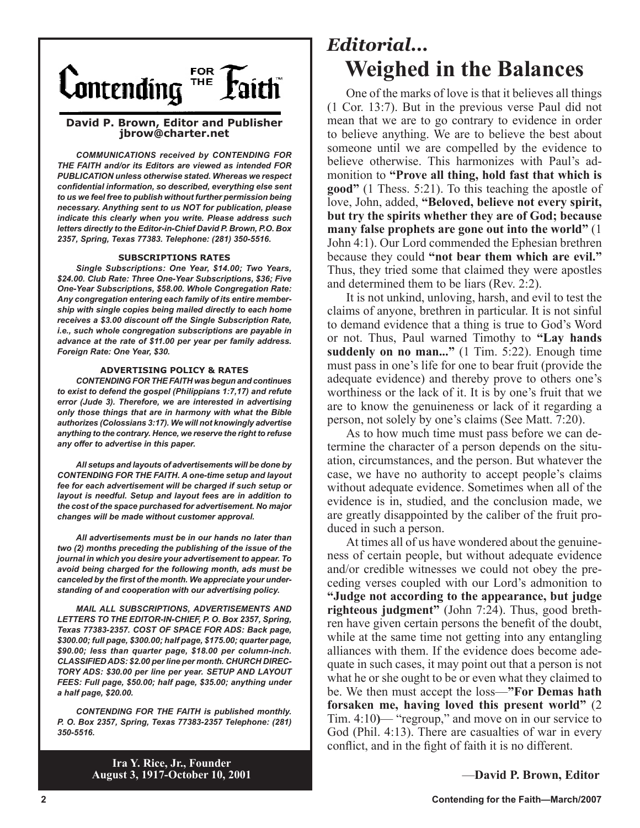

### **David P. Brown, Editor and Publisher jbrow@charter.net**

*COMMUNICATIONS received by CONTENDING FOR THE FAITH and/or its Editors are viewed as intended FOR PUBLICATION unless otherwise stated. Whereas we respect confidential information, so described, everything else sent to us we feel free to publish without further permission being necessary. Anything sent to us NOT for publication, please indicate this clearly when you write. Please address such letters directly to the Editor-in-Chief David P. Brown, P.O. Box 2357, Spring, Texas 77383. Telephone: (281) 350-5516.*

#### **SUBSCRIPTIONS RATES**

*Single Subscriptions: One Year, \$14.00; Two Years, \$24.00. Club Rate: Three One-Year Subscriptions, \$36; Five One-Year Subscriptions, \$58.00. Whole Congregation Rate: Any congregation entering each family of its entire membership with single copies being mailed directly to each home receives a \$3.00 discount off the Single Subscription Rate, i.e., such whole congregation subscriptions are payable in advance at the rate of \$11.00 per year per family address. Foreign Rate: One Year, \$30.*

#### **ADVERTISING POLICY & RATES**

*CONTENDING FOR THE FAITH was begun and continues to exist to defend the gospel (Philippians 1:7,17) and refute error (Jude 3). Therefore, we are interested in advertising only those things that are in harmony with what the Bible authorizes (Colossians 3:17). We will not knowingly advertise anything to the contrary. Hence, we reserve the right to refuse any offer to advertise in this paper.*

*All setups and layouts of advertisements will be done by CONTENDING FOR THE FAITH. A one-time setup and layout fee for each advertisement will be charged if such setup or layout is needful. Setup and layout fees are in addition to the cost of the space purchased for advertisement. No major changes will be made without customer approval.*

*All advertisements must be in our hands no later than two (2) months preceding the publishing of the issue of the journal in which you desire your advertisement to appear. To avoid being charged for the following month, ads must be canceled by the first of the month. We appreciate your understanding of and cooperation with our advertising policy.*

*MAIL ALL SUBSCRIPTIONS, ADVERTISEMENTS AND LETTERS TO THE EDITOR-IN-CHIEF, P. O. Box 2357, Spring, Texas 77383-2357. COST OF SPACE FOR ADS: Back page, \$300.00; full page, \$300.00; half page, \$175.00; quarter page, \$90.00; less than quarter page, \$18.00 per column-inch. CLASSIFIED ADS: \$2.00 per line per month. CHURCH DIREC-TORY ADS: \$30.00 per line per year. SETUP AND LAYOUT FEES: Full page, \$50.00; half page, \$35.00; anything under a half page, \$20.00.*

*CONTENDING FOR THE FAITH is published monthly. P. O. Box 2357, Spring, Texas 77383-2357 Telephone: (281) 350-5516.*

# *Editorial...* **Weighed in the Balances**

One of the marks of love is that it believes all things (1 Cor. 13:7). But in the previous verse Paul did not mean that we are to go contrary to evidence in order to believe anything. We are to believe the best about someone until we are compelled by the evidence to believe otherwise. This harmonizes with Paul's admonition to **"Prove all thing, hold fast that which is good"** (1 Thess. 5:21). To this teaching the apostle of love, John, added, **"Beloved, believe not every spirit, but try the spirits whether they are of God; because many false prophets are gone out into the world"** (1 John 4:1). Our Lord commended the Ephesian brethren because they could **"not bear them which are evil."** Thus, they tried some that claimed they were apostles and determined them to be liars (Rev. 2:2).

It is not unkind, unloving, harsh, and evil to test the claims of anyone, brethren in particular. It is not sinful to demand evidence that a thing is true to God's Word or not. Thus, Paul warned Timothy to **"Lay hands suddenly on no man..."** (1 Tim. 5:22). Enough time must pass in one's life for one to bear fruit (provide the adequate evidence) and thereby prove to others one's worthiness or the lack of it. It is by one's fruit that we are to know the genuineness or lack of it regarding a person, not solely by one's claims (See Matt. 7:20).

As to how much time must pass before we can determine the character of a person depends on the situation, circumstances, and the person. But whatever the case, we have no authority to accept people's claims without adequate evidence. Sometimes when all of the evidence is in, studied, and the conclusion made, we are greatly disappointed by the caliber of the fruit produced in such a person.

At times all of us have wondered about the genuineness of certain people, but without adequate evidence and/or credible witnesses we could not obey the preceding verses coupled with our Lord's admonition to **"Judge not according to the appearance, but judge righteous judgment"** (John 7:24). Thus, good brethren have given certain persons the benefit of the doubt, while at the same time not getting into any entangling alliances with them. If the evidence does become adequate in such cases, it may point out that a person is not what he or she ought to be or even what they claimed to be. We then must accept the loss—**"For Demas hath forsaken me, having loved this present world"** (2 Tim. 4:10**)**— "regroup," and move on in our service to God (Phil. 4:13). There are casualties of war in every conflict, and in the fight of faith it is no different.

—**David P. Brown, Editor**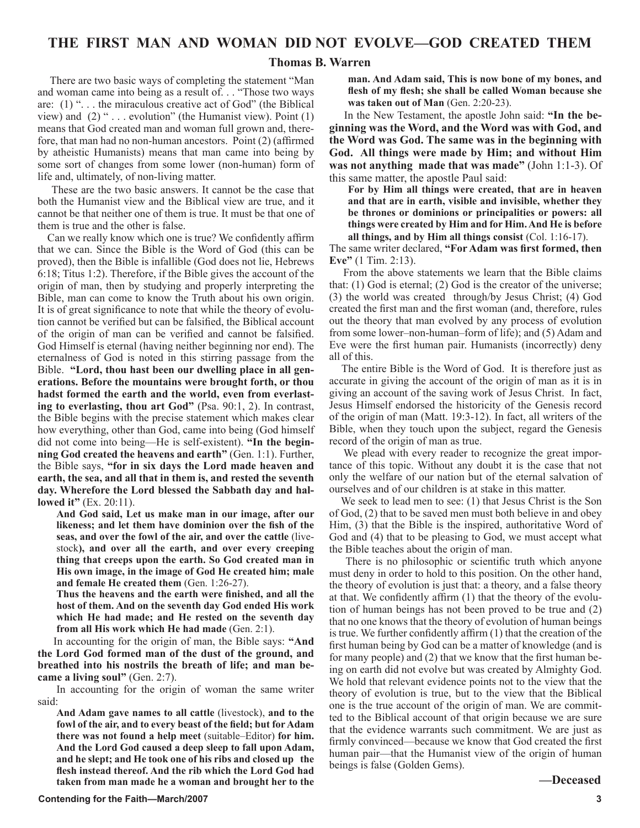### **Thomas B. Warren**

 There are two basic ways of completing the statement "Man and woman came into being as a result of. . . "Those two ways are: (1) "... the miraculous creative act of God" (the Biblical view) and  $(2)$  " . . . evolution" (the Humanist view). Point  $(1)$ means that God created man and woman full grown and, therefore, that man had no non-human ancestors. Point (2) (affirmed by atheistic Humanists) means that man came into being by some sort of changes from some lower (non-human) form of life and, ultimately, of non-living matter.

 These are the two basic answers. It cannot be the case that both the Humanist view and the Biblical view are true, and it cannot be that neither one of them is true. It must be that one of them is true and the other is false.

 Can we really know which one is true? We confidently affirm that we can. Since the Bible is the Word of God (this can be proved), then the Bible is infallible (God does not lie, Hebrews 6:18; Titus 1:2). Therefore, if the Bible gives the account of the origin of man, then by studying and properly interpreting the Bible, man can come to know the Truth about his own origin. It is of great significance to note that while the theory of evolution cannot be verified but can be falsified, the Biblical account of the origin of man can be verified and cannot be falsified. God Himself is eternal (having neither beginning nor end). The eternalness of God is noted in this stirring passage from the Bible. **"Lord, thou hast been our dwelling place in all generations. Before the mountains were brought forth, or thou hadst formed the earth and the world, even from everlasting to everlasting, thou art God"** (Psa. 90:1, 2). In contrast, the Bible begins with the precise statement which makes clear how everything, other than God, came into being (God himself did not come into being—He is self-existent). **"In the beginning God created the heavens and earth"** (Gen. 1:1). Further, the Bible says, **"for in six days the Lord made heaven and earth, the sea, and all that in them is, and rested the seventh day. Wherefore the Lord blessed the Sabbath day and hallowed it"** (Ex. 20:11).

**And God said, Let us make man in our image, after our likeness; and let them have dominion over the fish of the seas, and over the fowl of the air, and over the cattle** (livestock**), and over all the earth, and over every creeping thing that creeps upon the earth. So God created man in His own image, in the image of God He created him; male and female He created them** (Gen. 1:26-27).

**Thus the heavens and the earth were finished, and all the host of them. And on the seventh day God ended His work which He had made; and He rested on the seventh day from all His work which He had made** (Gen. 2:1).

 In accounting for the origin of man, the Bible says: **"And the Lord God formed man of the dust of the ground, and breathed into his nostrils the breath of life; and man became a living soul"** (Gen. 2:7).

In accounting for the origin of woman the same writer said:

**And Adam gave names to all cattle** (livestock), **and to the fowl of the air, and to every beast of the field; but for Adam there was not found a help meet** (suitable–Editor) **for him. And the Lord God caused a deep sleep to fall upon Adam, and he slept; and He took one of his ribs and closed up the flesh instead thereof. And the rib which the Lord God had taken from man made he a woman and brought her to the** 

**man. And Adam said, This is now bone of my bones, and flesh of my flesh; she shall be called Woman because she was taken out of Man** (Gen. 2:20-23).

 In the New Testament, the apostle John said: **"In the beginning was the Word, and the Word was with God, and the Word was God. The same was in the beginning with God. All things were made by Him; and without Him was not anything made that was made"** (John 1:1-3). Of this same matter, the apostle Paul said:

**For by Him all things were created, that are in heaven and that are in earth, visible and invisible, whether they be thrones or dominions or principalities or powers: all things were created by Him and for Him. And He is before all things, and by Him all things consist** (Col. 1:16-17).

The same writer declared, **"For Adam was first formed, then Eve"** (1 Tim. 2:13).

 From the above statements we learn that the Bible claims that: (1) God is eternal; (2) God is the creator of the universe; (3) the world was created through/by Jesus Christ; (4) God created the first man and the first woman (and, therefore, rules out the theory that man evolved by any process of evolution from some lower–non-human–form of life); and (5) Adam and Eve were the first human pair. Humanists (incorrectly) deny all of this.

 The entire Bible is the Word of God. It is therefore just as accurate in giving the account of the origin of man as it is in giving an account of the saving work of Jesus Christ. In fact, Jesus Himself endorsed the historicity of the Genesis record of the origin of man (Matt. 19:3-12). In fact, all writers of the Bible, when they touch upon the subject, regard the Genesis record of the origin of man as true.

 We plead with every reader to recognize the great importance of this topic. Without any doubt it is the case that not only the welfare of our nation but of the eternal salvation of ourselves and of our children is at stake in this matter.

 We seek to lead men to see: (1) that Jesus Christ is the Son of God, (2) that to be saved men must both believe in and obey Him, (3) that the Bible is the inspired, authoritative Word of God and (4) that to be pleasing to God, we must accept what the Bible teaches about the origin of man.

 There is no philosophic or scientific truth which anyone must deny in order to hold to this position. On the other hand, the theory of evolution is just that: a theory, and a false theory at that. We confidently affirm (1) that the theory of the evolution of human beings has not been proved to be true and (2) that no one knows that the theory of evolution of human beings is true. We further confidently affirm (1) that the creation of the first human being by God can be a matter of knowledge (and is for many people) and (2) that we know that the first human being on earth did not evolve but was created by Almighty God. We hold that relevant evidence points not to the view that the theory of evolution is true, but to the view that the Biblical one is the true account of the origin of man. We are committed to the Biblical account of that origin because we are sure that the evidence warrants such commitment. We are just as firmly convinced—because we know that God created the first human pair—that the Humanist view of the origin of human beings is false (Golden Gems).

#### **—Deceased**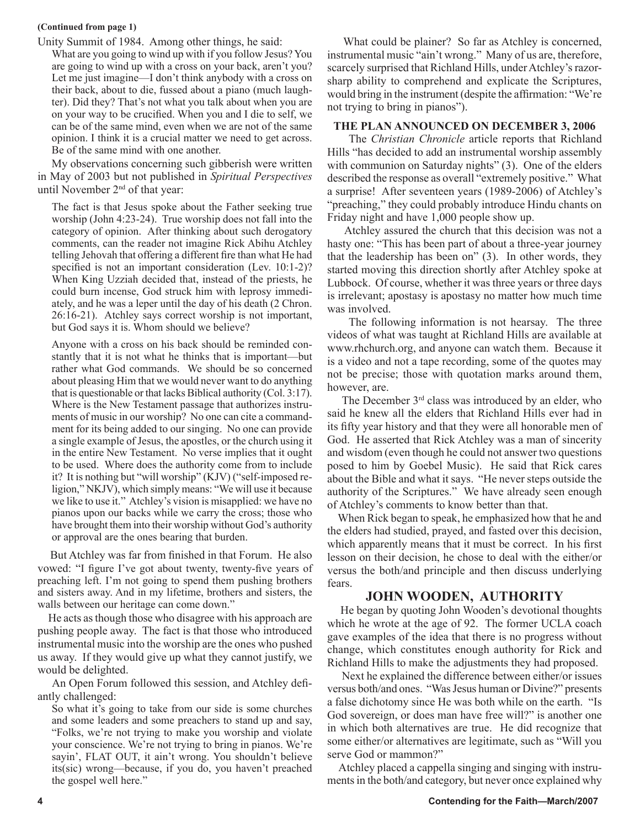### **(Continued from page 1)**

Unity Summit of 1984. Among other things, he said:

What are you going to wind up with if you follow Jesus? You are going to wind up with a cross on your back, aren't you? Let me just imagine—I don't think anybody with a cross on their back, about to die, fussed about a piano (much laughter). Did they? That's not what you talk about when you are on your way to be crucified. When you and I die to self, we can be of the same mind, even when we are not of the same opinion. I think it is a crucial matter we need to get across. Be of the same mind with one another.

 My observations concerning such gibberish were written in May of 2003 but not published in *Spiritual Perspectives* until November 2nd of that year:

The fact is that Jesus spoke about the Father seeking true worship (John 4:23-24). True worship does not fall into the category of opinion. After thinking about such derogatory comments, can the reader not imagine Rick Abihu Atchley telling Jehovah that offering a different fire than what He had specified is not an important consideration (Lev. 10:1-2)? When King Uzziah decided that, instead of the priests, he could burn incense, God struck him with leprosy immediately, and he was a leper until the day of his death (2 Chron. 26:16-21). Atchley says correct worship is not important, but God says it is. Whom should we believe?

Anyone with a cross on his back should be reminded constantly that it is not what he thinks that is important—but rather what God commands. We should be so concerned about pleasing Him that we would never want to do anything that is questionable or that lacks Biblical authority (Col. 3:17). Where is the New Testament passage that authorizes instruments of music in our worship? No one can cite a commandment for its being added to our singing. No one can provide a single example of Jesus, the apostles, or the church using it in the entire New Testament. No verse implies that it ought to be used. Where does the authority come from to include it? It is nothing but "will worship" (KJV) ("self-imposed religion," NKJV), which simply means: "We will use it because we like to use it." Atchley's vision is misapplied: we have no pianos upon our backs while we carry the cross; those who have brought them into their worship without God's authority or approval are the ones bearing that burden.

 But Atchley was far from finished in that Forum. He also vowed: "I figure I've got about twenty, twenty-five years of preaching left. I'm not going to spend them pushing brothers and sisters away. And in my lifetime, brothers and sisters, the walls between our heritage can come down."

 He acts as though those who disagree with his approach are pushing people away. The fact is that those who introduced instrumental music into the worship are the ones who pushed us away. If they would give up what they cannot justify, we would be delighted.

 An Open Forum followed this session, and Atchley defiantly challenged:

So what it's going to take from our side is some churches and some leaders and some preachers to stand up and say, "Folks, we're not trying to make you worship and violate your conscience. We're not trying to bring in pianos. We're sayin', FLAT OUT, it ain't wrong. You shouldn't believe its(sic) wrong—because, if you do, you haven't preached the gospel well here."

 What could be plainer? So far as Atchley is concerned, instrumental music "ain't wrong." Many of us are, therefore, scarcely surprised that Richland Hills, under Atchley's razorsharp ability to comprehend and explicate the Scriptures, would bring in the instrument (despite the affirmation: "We're not trying to bring in pianos").

### **THE PLAN ANNOUNCED ON DECEMBER 3, 2006**

 The *Christian Chronicle* article reports that Richland Hills "has decided to add an instrumental worship assembly with communion on Saturday nights" (3). One of the elders described the response as overall "extremely positive." What a surprise! After seventeen years (1989-2006) of Atchley's "preaching," they could probably introduce Hindu chants on Friday night and have 1,000 people show up.

 Atchley assured the church that this decision was not a hasty one: "This has been part of about a three-year journey that the leadership has been on" (3). In other words, they started moving this direction shortly after Atchley spoke at Lubbock. Of course, whether it was three years or three days is irrelevant; apostasy is apostasy no matter how much time was involved.

 The following information is not hearsay. The three videos of what was taught at Richland Hills are available at www.rhchurch.org, and anyone can watch them. Because it is a video and not a tape recording, some of the quotes may not be precise; those with quotation marks around them, however, are.

The December  $3<sup>rd</sup>$  class was introduced by an elder, who said he knew all the elders that Richland Hills ever had in its fifty year history and that they were all honorable men of God. He asserted that Rick Atchley was a man of sincerity and wisdom (even though he could not answer two questions posed to him by Goebel Music). He said that Rick cares about the Bible and what it says. "He never steps outside the authority of the Scriptures." We have already seen enough of Atchley's comments to know better than that.

 When Rick began to speak, he emphasized how that he and the elders had studied, prayed, and fasted over this decision, which apparently means that it must be correct. In his first lesson on their decision, he chose to deal with the either/or versus the both/and principle and then discuss underlying fears.

### **JOHN WOODEN, AUTHORITY**

 He began by quoting John Wooden's devotional thoughts which he wrote at the age of 92. The former UCLA coach gave examples of the idea that there is no progress without change, which constitutes enough authority for Rick and Richland Hills to make the adjustments they had proposed.

 Next he explained the difference between either/or issues versus both/and ones. "Was Jesus human or Divine?" presents a false dichotomy since He was both while on the earth. "Is God sovereign, or does man have free will?" is another one in which both alternatives are true. He did recognize that some either/or alternatives are legitimate, such as "Will you serve God or mammon?"

 Atchley placed a cappella singing and singing with instruments in the both/and category, but never once explained why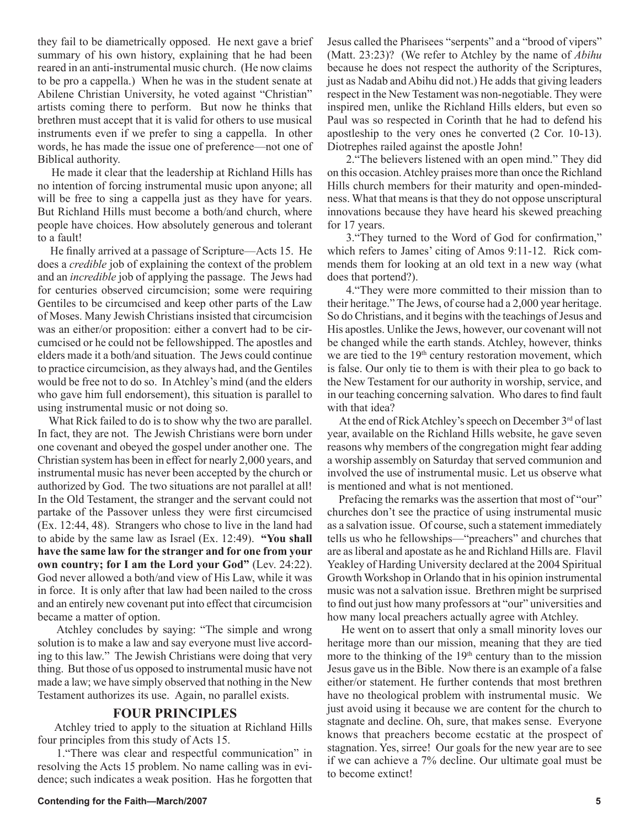they fail to be diametrically opposed. He next gave a brief summary of his own history, explaining that he had been reared in an anti-instrumental music church. (He now claims to be pro a cappella.) When he was in the student senate at Abilene Christian University, he voted against "Christian" artists coming there to perform. But now he thinks that brethren must accept that it is valid for others to use musical instruments even if we prefer to sing a cappella. In other words, he has made the issue one of preference—not one of Biblical authority.

 He made it clear that the leadership at Richland Hills has no intention of forcing instrumental music upon anyone; all will be free to sing a cappella just as they have for years. But Richland Hills must become a both/and church, where people have choices. How absolutely generous and tolerant to a fault!

 He finally arrived at a passage of Scripture—Acts 15. He does a *credible* job of explaining the context of the problem and an *incredible* job of applying the passage. The Jews had for centuries observed circumcision; some were requiring Gentiles to be circumcised and keep other parts of the Law of Moses. Many Jewish Christians insisted that circumcision was an either/or proposition: either a convert had to be circumcised or he could not be fellowshipped. The apostles and elders made it a both/and situation. The Jews could continue to practice circumcision, as they always had, and the Gentiles would be free not to do so. In Atchley's mind (and the elders who gave him full endorsement), this situation is parallel to using instrumental music or not doing so.

 What Rick failed to do is to show why the two are parallel. In fact, they are not. The Jewish Christians were born under one covenant and obeyed the gospel under another one. The Christian system has been in effect for nearly 2,000 years, and instrumental music has never been accepted by the church or authorized by God. The two situations are not parallel at all! In the Old Testament, the stranger and the servant could not partake of the Passover unless they were first circumcised (Ex. 12:44, 48). Strangers who chose to live in the land had to abide by the same law as Israel (Ex. 12:49). **"You shall have the same law for the stranger and for one from your own country; for I am the Lord your God"** (Lev. 24:22). God never allowed a both/and view of His Law, while it was in force. It is only after that law had been nailed to the cross and an entirely new covenant put into effect that circumcision became a matter of option.

Atchley concludes by saying: "The simple and wrong solution is to make a law and say everyone must live according to this law." The Jewish Christians were doing that very thing. But those of us opposed to instrumental music have not made a law; we have simply observed that nothing in the New Testament authorizes its use. Again, no parallel exists.

### **FOUR PRINCIPLES**

 Atchley tried to apply to the situation at Richland Hills four principles from this study of Acts 15.

1."There was clear and respectful communication" in resolving the Acts 15 problem. No name calling was in evidence; such indicates a weak position. Has he forgotten that

Jesus called the Pharisees "serpents" and a "brood of vipers" (Matt. 23:23)? (We refer to Atchley by the name of *Abihu* because he does not respect the authority of the Scriptures, just as Nadab and Abihu did not.) He adds that giving leaders respect in the New Testament was non-negotiable. They were inspired men, unlike the Richland Hills elders, but even so Paul was so respected in Corinth that he had to defend his apostleship to the very ones he converted (2 Cor. 10-13). Diotrephes railed against the apostle John!

2."The believers listened with an open mind." They did on this occasion. Atchley praises more than once the Richland Hills church members for their maturity and open-mindedness. What that means is that they do not oppose unscriptural innovations because they have heard his skewed preaching for 17 years.

3."They turned to the Word of God for confirmation," which refers to James' citing of Amos 9:11-12. Rick commends them for looking at an old text in a new way (what does that portend?).

4."They were more committed to their mission than to their heritage." The Jews, of course had a 2,000 year heritage. So do Christians, and it begins with the teachings of Jesus and His apostles. Unlike the Jews, however, our covenant will not be changed while the earth stands. Atchley, however, thinks we are tied to the 19<sup>th</sup> century restoration movement, which is false. Our only tie to them is with their plea to go back to the New Testament for our authority in worship, service, and in our teaching concerning salvation. Who dares to find fault with that idea?

At the end of Rick Atchley's speech on December 3<sup>rd</sup> of last year, available on the Richland Hills website, he gave seven reasons why members of the congregation might fear adding a worship assembly on Saturday that served communion and involved the use of instrumental music. Let us observe what is mentioned and what is not mentioned.

 Prefacing the remarks was the assertion that most of "our" churches don't see the practice of using instrumental music as a salvation issue. Of course, such a statement immediately tells us who he fellowships—"preachers" and churches that are as liberal and apostate as he and Richland Hills are. Flavil Yeakley of Harding University declared at the 2004 Spiritual Growth Workshop in Orlando that in his opinion instrumental music was not a salvation issue. Brethren might be surprised to find out just how many professors at "our" universities and how many local preachers actually agree with Atchley.

 He went on to assert that only a small minority loves our heritage more than our mission, meaning that they are tied more to the thinking of the  $19<sup>th</sup>$  century than to the mission Jesus gave us in the Bible. Now there is an example of a false either/or statement. He further contends that most brethren have no theological problem with instrumental music. We just avoid using it because we are content for the church to stagnate and decline. Oh, sure, that makes sense. Everyone knows that preachers become ecstatic at the prospect of stagnation. Yes, sirree! Our goals for the new year are to see if we can achieve a 7% decline. Our ultimate goal must be to become extinct!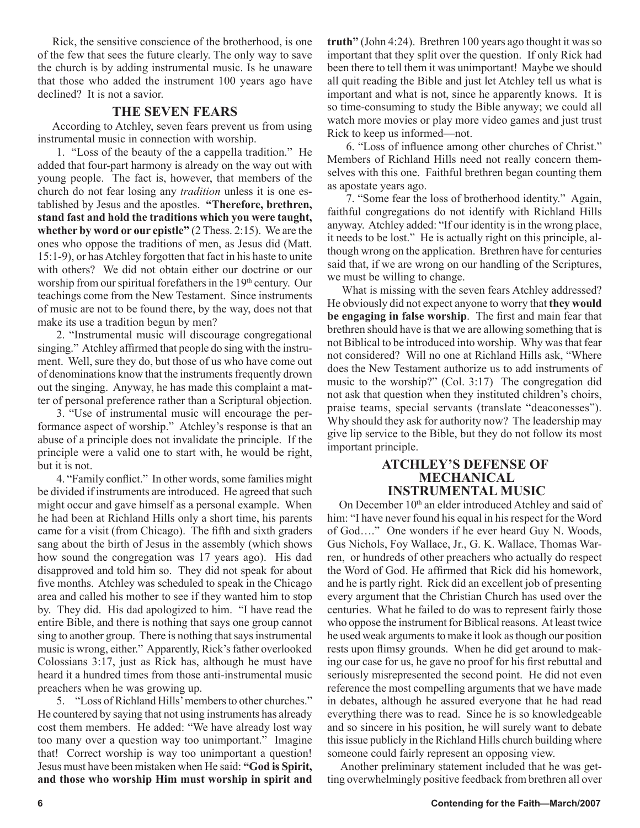Rick, the sensitive conscience of the brotherhood, is one of the few that sees the future clearly. The only way to save the church is by adding instrumental music. Is he unaware that those who added the instrument 100 years ago have declined? It is not a savior.

### **THE SEVEN FEARS**

 According to Atchley, seven fears prevent us from using instrumental music in connection with worship.

1. "Loss of the beauty of the a cappella tradition." He added that four-part harmony is already on the way out with young people. The fact is, however, that members of the church do not fear losing any *tradition* unless it is one established by Jesus and the apostles. **"Therefore, brethren, stand fast and hold the traditions which you were taught, whether by word or our epistle"** (2 Thess. 2:15). We are the ones who oppose the traditions of men, as Jesus did (Matt. 15:1-9), or has Atchley forgotten that fact in his haste to unite with others? We did not obtain either our doctrine or our worship from our spiritual forefathers in the 19<sup>th</sup> century. Our teachings come from the New Testament. Since instruments of music are not to be found there, by the way, does not that make its use a tradition begun by men?

2. "Instrumental music will discourage congregational singing." Atchley affirmed that people do sing with the instrument. Well, sure they do, but those of us who have come out of denominations know that the instruments frequently drown out the singing. Anyway, he has made this complaint a matter of personal preference rather than a Scriptural objection.

3. "Use of instrumental music will encourage the performance aspect of worship." Atchley's response is that an abuse of a principle does not invalidate the principle. If the principle were a valid one to start with, he would be right, but it is not.

4. "Family conflict." In other words, some families might be divided if instruments are introduced. He agreed that such might occur and gave himself as a personal example. When he had been at Richland Hills only a short time, his parents came for a visit (from Chicago). The fifth and sixth graders sang about the birth of Jesus in the assembly (which shows how sound the congregation was 17 years ago). His dad disapproved and told him so. They did not speak for about five months. Atchley was scheduled to speak in the Chicago area and called his mother to see if they wanted him to stop by. They did. His dad apologized to him. "I have read the entire Bible, and there is nothing that says one group cannot sing to another group. There is nothing that says instrumental music is wrong, either." Apparently, Rick's father overlooked Colossians 3:17, just as Rick has, although he must have heard it a hundred times from those anti-instrumental music preachers when he was growing up.

5. "Loss of Richland Hills' members to other churches." He countered by saying that not using instruments has already cost them members. He added: "We have already lost way too many over a question way too unimportant." Imagine that! Correct worship is way too unimportant a question! Jesus must have been mistaken when He said: **"God is Spirit, and those who worship Him must worship in spirit and**  **truth"** (John 4:24). Brethren 100 years ago thought it was so important that they split over the question. If only Rick had been there to tell them it was unimportant! Maybe we should all quit reading the Bible and just let Atchley tell us what is important and what is not, since he apparently knows. It is so time-consuming to study the Bible anyway; we could all watch more movies or play more video games and just trust Rick to keep us informed—not.

6. "Loss of influence among other churches of Christ." Members of Richland Hills need not really concern themselves with this one. Faithful brethren began counting them as apostate years ago.

7. "Some fear the loss of brotherhood identity." Again, faithful congregations do not identify with Richland Hills anyway. Atchley added: "If our identity is in the wrong place, it needs to be lost." He is actually right on this principle, although wrong on the application. Brethren have for centuries said that, if we are wrong on our handling of the Scriptures, we must be willing to change.

 What is missing with the seven fears Atchley addressed? He obviously did not expect anyone to worry that **they would be engaging in false worship**. The first and main fear that brethren should have is that we are allowing something that is not Biblical to be introduced into worship. Why was that fear not considered? Will no one at Richland Hills ask, "Where does the New Testament authorize us to add instruments of music to the worship?" (Col. 3:17) The congregation did not ask that question when they instituted children's choirs, praise teams, special servants (translate "deaconesses"). Why should they ask for authority now? The leadership may give lip service to the Bible, but they do not follow its most important principle.

### **ATCHLEY'S DEFENSE OF MECHANICAL INSTRUMENTAL MUSIC**

On December 10<sup>th</sup> an elder introduced Atchley and said of him: "I have never found his equal in his respect for the Word of God…." One wonders if he ever heard Guy N. Woods, Gus Nichols, Foy Wallace, Jr., G. K. Wallace, Thomas Warren, or hundreds of other preachers who actually do respect the Word of God. He affirmed that Rick did his homework, and he is partly right. Rick did an excellent job of presenting every argument that the Christian Church has used over the centuries. What he failed to do was to represent fairly those who oppose the instrument for Biblical reasons. At least twice he used weak arguments to make it look as though our position rests upon flimsy grounds. When he did get around to making our case for us, he gave no proof for his first rebuttal and seriously misrepresented the second point. He did not even reference the most compelling arguments that we have made in debates, although he assured everyone that he had read everything there was to read. Since he is so knowledgeable and so sincere in his position, he will surely want to debate this issue publicly in the Richland Hills church building where someone could fairly represent an opposing view.

 Another preliminary statement included that he was getting overwhelmingly positive feedback from brethren all over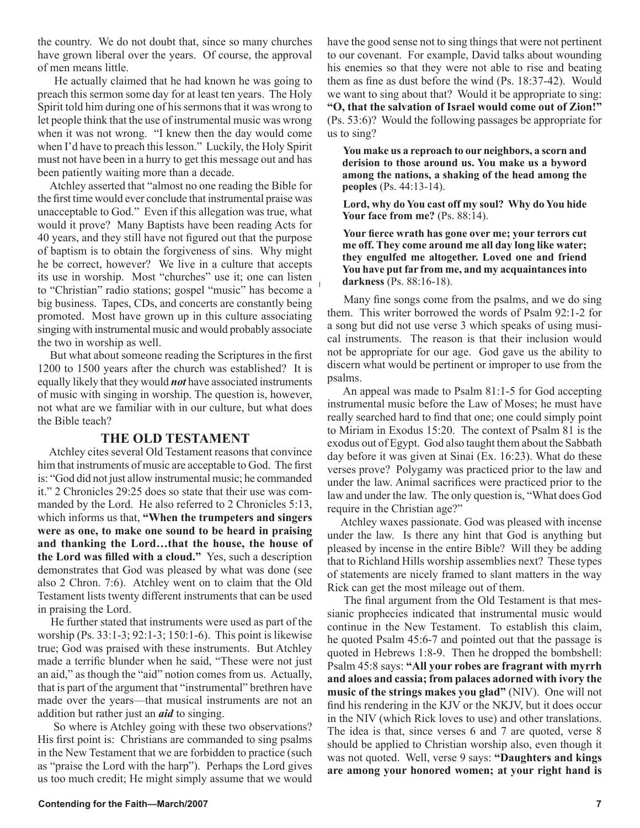the country. We do not doubt that, since so many churches have grown liberal over the years. Of course, the approval of men means little.

 He actually claimed that he had known he was going to preach this sermon some day for at least ten years. The Holy Spirit told him during one of his sermons that it was wrong to let people think that the use of instrumental music was wrong when it was not wrong. "I knew then the day would come when I'd have to preach this lesson." Luckily, the Holy Spirit must not have been in a hurry to get this message out and has been patiently waiting more than a decade.

 Atchley asserted that "almost no one reading the Bible for the first time would ever conclude that instrumental praise was unacceptable to God." Even if this allegation was true, what would it prove? Many Baptists have been reading Acts for 40 years, and they still have not figured out that the purpose of baptism is to obtain the forgiveness of sins. Why might he be correct, however? We live in a culture that accepts its use in worship. Most "churches" use it; one can listen to "Christian" radio stations; gospel "music" has become a big business. Tapes, CDs, and concerts are constantly being promoted. Most have grown up in this culture associating singing with instrumental music and would probably associate the two in worship as well.

 But what about someone reading the Scriptures in the first 1200 to 1500 years after the church was established? It is equally likely that they would *not* have associated instruments of music with singing in worship. The question is, however, not what are we familiar with in our culture, but what does the Bible teach?

### **THE OLD TESTAMENT**

 Atchley cites several Old Testament reasons that convince him that instruments of music are acceptable to God. The first is: "God did not just allow instrumental music; he commanded it." 2 Chronicles 29:25 does so state that their use was commanded by the Lord. He also referred to 2 Chronicles 5:13, which informs us that, **"When the trumpeters and singers were as one, to make one sound to be heard in praising and thanking the Lord…that the house, the house of the Lord was filled with a cloud."** Yes, such a description demonstrates that God was pleased by what was done (see also 2 Chron. 7:6). Atchley went on to claim that the Old Testament lists twenty different instruments that can be used in praising the Lord.

 He further stated that instruments were used as part of the worship (Ps. 33:1-3; 92:1-3; 150:1-6). This point is likewise true; God was praised with these instruments. But Atchley made a terrific blunder when he said, "These were not just an aid," as though the "aid" notion comes from us. Actually, that is part of the argument that "instrumental" brethren have made over the years—that musical instruments are not an addition but rather just an *aid* to singing.

 So where is Atchley going with these two observations? His first point is: Christians are commanded to sing psalms in the New Testament that we are forbidden to practice (such as "praise the Lord with the harp"). Perhaps the Lord gives us too much credit; He might simply assume that we would have the good sense not to sing things that were not pertinent to our covenant. For example, David talks about wounding his enemies so that they were not able to rise and beating them as fine as dust before the wind (Ps. 18:37-42). Would we want to sing about that? Would it be appropriate to sing: **"O, that the salvation of Israel would come out of Zion!"**  (Ps. 53:6)? Would the following passages be appropriate for us to sing?

**You make us a reproach to our neighbors, a scorn and derision to those around us. You make us a byword among the nations, a shaking of the head among the peoples** (Ps. 44:13-14).

**Lord, why do You cast off my soul? Why do You hide Your face from me?** (Ps. 88:14).

**Your fierce wrath has gone over me; your terrors cut me off. They come around me all day long like water; they engulfed me altogether. Loved one and friend You have put far from me, and my acquaintances into darkness** (Ps. 88:16-18).

 Many fine songs come from the psalms, and we do sing them. This writer borrowed the words of Psalm 92:1-2 for a song but did not use verse 3 which speaks of using musical instruments. The reason is that their inclusion would not be appropriate for our age. God gave us the ability to discern what would be pertinent or improper to use from the psalms.

 An appeal was made to Psalm 81:1-5 for God accepting instrumental music before the Law of Moses; he must have really searched hard to find that one; one could simply point to Miriam in Exodus 15:20. The context of Psalm 81 is the exodus out of Egypt. God also taught them about the Sabbath day before it was given at Sinai (Ex. 16:23). What do these verses prove? Polygamy was practiced prior to the law and under the law. Animal sacrifices were practiced prior to the law and under the law. The only question is, "What does God require in the Christian age?"

 Atchley waxes passionate. God was pleased with incense under the law. Is there any hint that God is anything but pleased by incense in the entire Bible? Will they be adding that to Richland Hills worship assemblies next? These types of statements are nicely framed to slant matters in the way Rick can get the most mileage out of them.

 The final argument from the Old Testament is that messianic prophecies indicated that instrumental music would continue in the New Testament. To establish this claim, he quoted Psalm 45:6-7 and pointed out that the passage is quoted in Hebrews 1:8-9. Then he dropped the bombshell: Psalm 45:8 says: **"All your robes are fragrant with myrrh and aloes and cassia; from palaces adorned with ivory the music of the strings makes you glad"** (NIV). One will not find his rendering in the KJV or the NKJV, but it does occur in the NIV (which Rick loves to use) and other translations. The idea is that, since verses 6 and 7 are quoted, verse 8 should be applied to Christian worship also, even though it was not quoted. Well, verse 9 says: **"Daughters and kings are among your honored women; at your right hand is**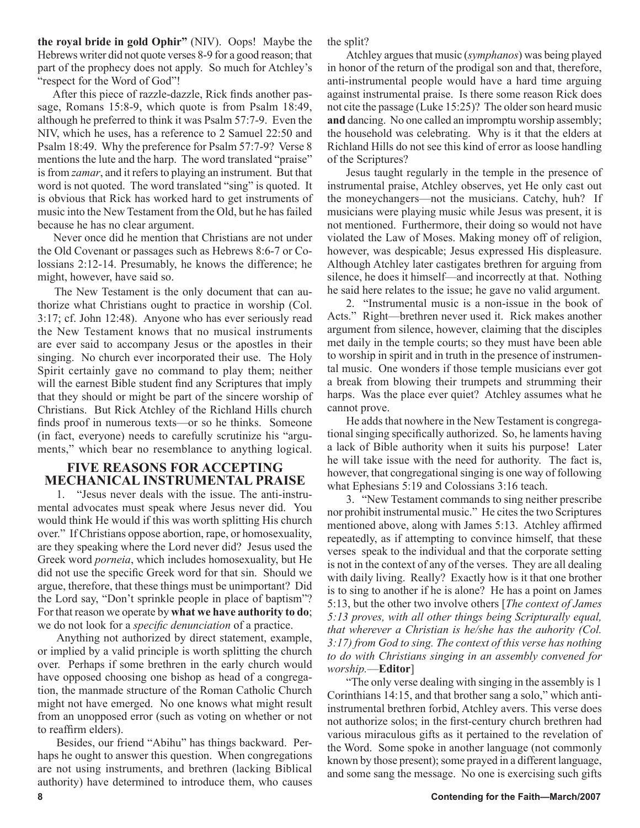**the royal bride in gold Ophir"** (NIV). Oops! Maybe the Hebrews writer did not quote verses 8-9 for a good reason; that part of the prophecy does not apply. So much for Atchley's "respect for the Word of God"!

 After this piece of razzle-dazzle, Rick finds another passage, Romans 15:8-9, which quote is from Psalm 18:49, although he preferred to think it was Psalm 57:7-9. Even the NIV, which he uses, has a reference to 2 Samuel 22:50 and Psalm 18:49. Why the preference for Psalm 57:7-9? Verse 8 mentions the lute and the harp. The word translated "praise" is from *zamar*, and it refers to playing an instrument. But that word is not quoted. The word translated "sing" is quoted. It is obvious that Rick has worked hard to get instruments of music into the New Testament from the Old, but he has failed because he has no clear argument.

 Never once did he mention that Christians are not under the Old Covenant or passages such as Hebrews 8:6-7 or Colossians 2:12-14. Presumably, he knows the difference; he might, however, have said so.

 The New Testament is the only document that can authorize what Christians ought to practice in worship (Col. 3:17; cf. John 12:48). Anyone who has ever seriously read the New Testament knows that no musical instruments are ever said to accompany Jesus or the apostles in their singing. No church ever incorporated their use. The Holy Spirit certainly gave no command to play them; neither will the earnest Bible student find any Scriptures that imply that they should or might be part of the sincere worship of Christians. But Rick Atchley of the Richland Hills church finds proof in numerous texts—or so he thinks. Someone (in fact, everyone) needs to carefully scrutinize his "arguments," which bear no resemblance to anything logical.

### **FIVE REASONS FOR ACCEPTING MECHANICAL INSTRUMENTAL PRAISE**

1. "Jesus never deals with the issue. The anti-instrumental advocates must speak where Jesus never did. You would think He would if this was worth splitting His church over." If Christians oppose abortion, rape, or homosexuality, are they speaking where the Lord never did? Jesus used the Greek word *porneia*, which includes homosexuality, but He did not use the specific Greek word for that sin. Should we argue, therefore, that these things must be unimportant? Did the Lord say, "Don't sprinkle people in place of baptism"? For that reason we operate by **what we have authority to do**; we do not look for a *specific denunciation* of a practice.

Anything not authorized by direct statement, example, or implied by a valid principle is worth splitting the church over. Perhaps if some brethren in the early church would have opposed choosing one bishop as head of a congregation, the manmade structure of the Roman Catholic Church might not have emerged. No one knows what might result from an unopposed error (such as voting on whether or not to reaffirm elders).

Besides, our friend "Abihu" has things backward. Perhaps he ought to answer this question. When congregations are not using instruments, and brethren (lacking Biblical authority) have determined to introduce them, who causes the split?

Atchley argues that music (*symphanos*) was being played in honor of the return of the prodigal son and that, therefore, anti-instrumental people would have a hard time arguing against instrumental praise. Is there some reason Rick does not cite the passage (Luke 15:25)? The older son heard music **and** dancing. No one called an impromptu worship assembly; the household was celebrating. Why is it that the elders at Richland Hills do not see this kind of error as loose handling of the Scriptures?

Jesus taught regularly in the temple in the presence of instrumental praise, Atchley observes, yet He only cast out the moneychangers—not the musicians. Catchy, huh? If musicians were playing music while Jesus was present, it is not mentioned. Furthermore, their doing so would not have violated the Law of Moses. Making money off of religion, however, was despicable; Jesus expressed His displeasure. Although Atchley later castigates brethren for arguing from silence, he does it himself—and incorrectly at that. Nothing he said here relates to the issue; he gave no valid argument.

2. "Instrumental music is a non-issue in the book of Acts." Right—brethren never used it. Rick makes another argument from silence, however, claiming that the disciples met daily in the temple courts; so they must have been able to worship in spirit and in truth in the presence of instrumental music. One wonders if those temple musicians ever got a break from blowing their trumpets and strumming their harps. Was the place ever quiet? Atchley assumes what he cannot prove.

He adds that nowhere in the New Testament is congregational singing specifically authorized. So, he laments having a lack of Bible authority when it suits his purpose! Later he will take issue with the need for authority. The fact is, however, that congregational singing is one way of following what Ephesians 5:19 and Colossians 3:16 teach.

3. "New Testament commands to sing neither prescribe nor prohibit instrumental music." He cites the two Scriptures mentioned above, along with James 5:13. Atchley affirmed repeatedly, as if attempting to convince himself, that these verses speak to the individual and that the corporate setting is not in the context of any of the verses. They are all dealing with daily living. Really? Exactly how is it that one brother is to sing to another if he is alone? He has a point on James 5:13, but the other two involve others [*The context of James 5:13 proves, with all other things being Scripturally equal, that wherever a Christian is he/she has the auhority (Col. 3:17) from God to sing. The context of this verse has nothing to do with Christians singing in an assembly convened for worship.*—**Editor**]

"The only verse dealing with singing in the assembly is 1 Corinthians 14:15, and that brother sang a solo," which antiinstrumental brethren forbid, Atchley avers. This verse does not authorize solos; in the first-century church brethren had various miraculous gifts as it pertained to the revelation of the Word. Some spoke in another language (not commonly known by those present); some prayed in a different language, and some sang the message. No one is exercising such gifts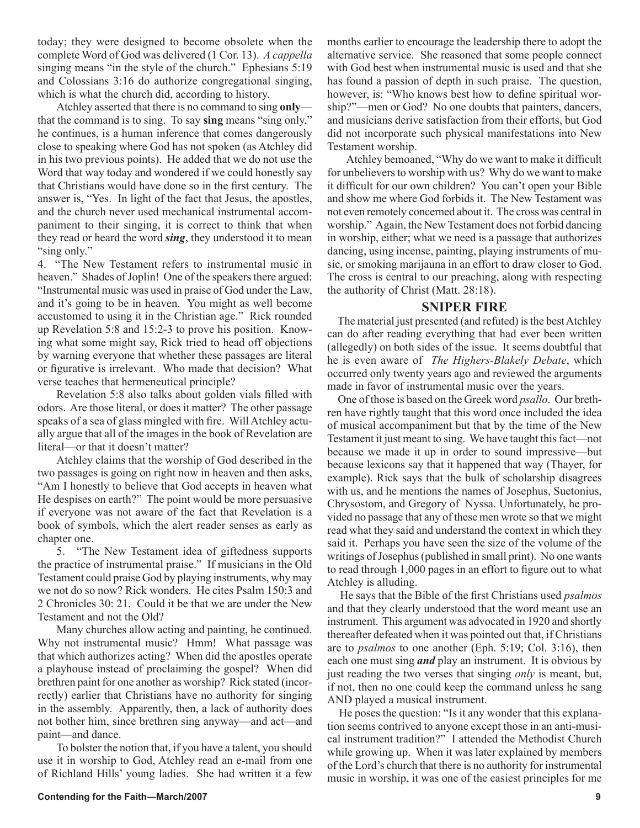today; they were designed to become obsolete when the complete Word of God was delivered (1 Cor. 13). *A cappella* singing means "in the style of the church." Ephesians 5:19 and Colossians 3:16 do authorize congregational singing, which is what the church did, according to history.

Atchley asserted that there is no command to sing **only** that the command is to sing. To say **sing** means "sing only," he continues, is a human inference that comes dangerously close to speaking where God has not spoken (as Atchley did in his two previous points). He added that we do not use the Word that way today and wondered if we could honestly say that Christians would have done so in the first century. The answer is, "Yes. In light of the fact that Jesus, the apostles, and the church never used mechanical instrumental accompaniment to their singing, it is correct to think that when they read or heard the word *sing*, they understood it to mean "sing only."

4. "The New Testament refers to instrumental music in heaven." Shades of Joplin! One of the speakers there argued: "Instrumental music was used in praise of God under the Law, and it's going to be in heaven. You might as well become accustomed to using it in the Christian age." Rick rounded up Revelation 5:8 and 15:2-3 to prove his position. Knowing what some might say, Rick tried to head off objections by warning everyone that whether these passages are literal or figurative is irrelevant. Who made that decision? What verse teaches that hermeneutical principle?

Revelation 5:8 also talks about golden vials filled with odors. Are those literal, or does it matter? The other passage speaks of a sea of glass mingled with fire. Will Atchley actually argue that all of the images in the book of Revelation are literal—or that it doesn't matter?

Atchley claims that the worship of God described in the two passages is going on right now in heaven and then asks, "Am I honestly to believe that God accepts in heaven what He despises on earth?" The point would be more persuasive if everyone was not aware of the fact that Revelation is a book of symbols, which the alert reader senses as early as chapter one.

5. "The New Testament idea of giftedness supports the practice of instrumental praise." If musicians in the Old Testament could praise God by playing instruments, why may we not do so now? Rick wonders. He cites Psalm 150:3 and 2 Chronicles 30: 21. Could it be that we are under the New Testament and not the Old?

Many churches allow acting and painting, he continued. Why not instrumental music? Hmm! What passage was that which authorizes acting? When did the apostles operate a playhouse instead of proclaiming the gospel? When did brethren paint for one another as worship? Rick stated (incorrectly) earlier that Christians have no authority for singing in the assembly. Apparently, then, a lack of authority does not bother him, since brethren sing anyway—and act—and paint—and dance.

To bolster the notion that, if you have a talent, you should use it in worship to God, Atchley read an e-mail from one of Richland Hills' young ladies. She had written it a few

Atchley bemoaned, "Why do we want to make it difficult for unbelievers to worship with us? Why do we want to make it difficult for our own children? You can't open your Bible and show me where God forbids it. The New Testament was not even remotely concerned about it. The cross was central in worship." Again, the New Testament does not forbid dancing in worship, either; what we need is a passage that authorizes dancing, using incense, painting, playing instruments of music, or smoking marijauna in an effort to draw closer to God. The cross is central to our preaching, along with respecting the authority of Christ (Matt. 28:18).

### **SNIPER FIRE**

 The material just presented (and refuted) is the best Atchley can do after reading everything that had ever been written (allegedly) on both sides of the issue. It seems doubtful that he is even aware of *The Highers-Blakely Debate*, which occurred only twenty years ago and reviewed the arguments made in favor of instrumental music over the years.

 One of those is based on the Greek word *psallo*. Our brethren have rightly taught that this word once included the idea of musical accompaniment but that by the time of the New Testament it just meant to sing. We have taught this fact—not because we made it up in order to sound impressive—but because lexicons say that it happened that way (Thayer, for example). Rick says that the bulk of scholarship disagrees with us, and he mentions the names of Josephus, Suetonius, Chrysostom, and Gregory of Nyssa. Unfortunately, he provided no passage that any of these men wrote so that we might read what they said and understand the context in which they said it. Perhaps you have seen the size of the volume of the writings of Josephus (published in small print). No one wants to read through 1,000 pages in an effort to figure out to what Atchley is alluding.

 He says that the Bible of the first Christians used *psalmos* and that they clearly understood that the word meant use an instrument. This argument was advocated in 1920 and shortly thereafter defeated when it was pointed out that, if Christians are to *psalmos* to one another (Eph. 5:19; Col. 3:16), then each one must sing *and* play an instrument. It is obvious by just reading the two verses that singing *only* is meant, but, if not, then no one could keep the command unless he sang AND played a musical instrument.

 He poses the question: "Is it any wonder that this explanation seems contrived to anyone except those in an anti-musical instrument tradition?" I attended the Methodist Church while growing up. When it was later explained by members of the Lord's church that there is no authority for instrumental music in worship, it was one of the easiest principles for me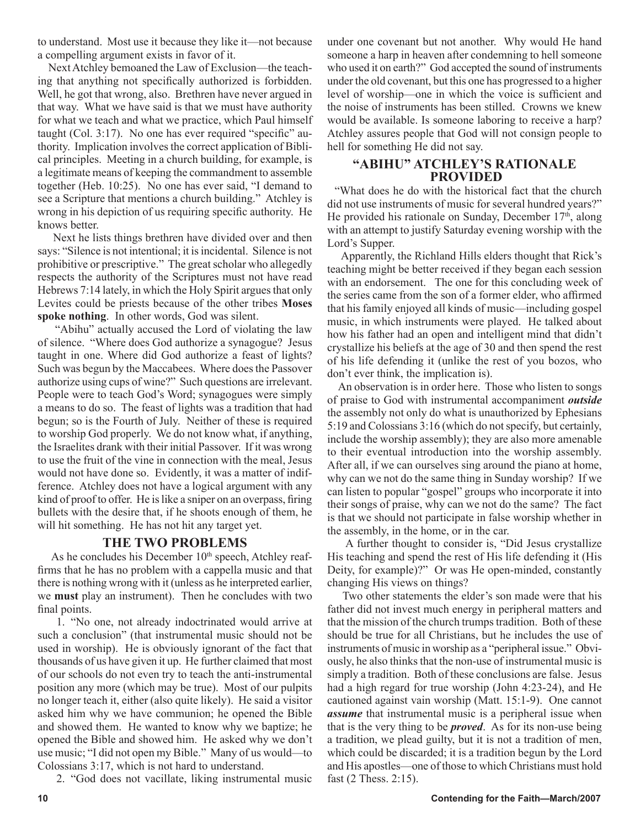to understand. Most use it because they like it—not because a compelling argument exists in favor of it.

 Next Atchley bemoaned the Law of Exclusion—the teaching that anything not specifically authorized is forbidden. Well, he got that wrong, also. Brethren have never argued in that way. What we have said is that we must have authority for what we teach and what we practice, which Paul himself taught (Col. 3:17). No one has ever required "specific" authority. Implication involves the correct application of Biblical principles. Meeting in a church building, for example, is a legitimate means of keeping the commandment to assemble together (Heb. 10:25). No one has ever said, "I demand to see a Scripture that mentions a church building." Atchley is wrong in his depiction of us requiring specific authority. He knows better.

 Next he lists things brethren have divided over and then says: "Silence is not intentional; it is incidental. Silence is not prohibitive or prescriptive." The great scholar who allegedly respects the authority of the Scriptures must not have read Hebrews 7:14 lately, in which the Holy Spirit argues that only Levites could be priests because of the other tribes **Moses spoke nothing**. In other words, God was silent.

 "Abihu" actually accused the Lord of violating the law of silence. "Where does God authorize a synagogue? Jesus taught in one. Where did God authorize a feast of lights? Such was begun by the Maccabees. Where does the Passover authorize using cups of wine?" Such questions are irrelevant. People were to teach God's Word; synagogues were simply a means to do so. The feast of lights was a tradition that had begun; so is the Fourth of July. Neither of these is required to worship God properly. We do not know what, if anything, the Israelites drank with their initial Passover. If it was wrong to use the fruit of the vine in connection with the meal, Jesus would not have done so. Evidently, it was a matter of indifference. Atchley does not have a logical argument with any kind of proof to offer. He is like a sniper on an overpass, firing bullets with the desire that, if he shoots enough of them, he will hit something. He has not hit any target yet.

### **THE TWO PROBLEMS**

As he concludes his December 10<sup>th</sup> speech, Atchley reaffirms that he has no problem with a cappella music and that there is nothing wrong with it (unless as he interpreted earlier, we **must** play an instrument). Then he concludes with two final points.

1. "No one, not already indoctrinated would arrive at such a conclusion" (that instrumental music should not be used in worship). He is obviously ignorant of the fact that thousands of us have given it up. He further claimed that most of our schools do not even try to teach the anti-instrumental position any more (which may be true). Most of our pulpits no longer teach it, either (also quite likely). He said a visitor asked him why we have communion; he opened the Bible and showed them. He wanted to know why we baptize; he opened the Bible and showed him. He asked why we don't use music; "I did not open my Bible." Many of us would—to Colossians 3:17, which is not hard to understand.

2. "God does not vacillate, liking instrumental music

under one covenant but not another. Why would He hand someone a harp in heaven after condemning to hell someone who used it on earth?" God accepted the sound of instruments under the old covenant, but this one has progressed to a higher level of worship—one in which the voice is sufficient and the noise of instruments has been stilled. Crowns we knew would be available. Is someone laboring to receive a harp? Atchley assures people that God will not consign people to hell for something He did not say.

### **"ABIHU" ATCHLEY'S RATIONALE PROVIDED**

 "What does he do with the historical fact that the church did not use instruments of music for several hundred years?" He provided his rationale on Sunday, December  $17<sup>th</sup>$ , along with an attempt to justify Saturday evening worship with the Lord's Supper.

 Apparently, the Richland Hills elders thought that Rick's teaching might be better received if they began each session with an endorsement. The one for this concluding week of the series came from the son of a former elder, who affirmed that his family enjoyed all kinds of music—including gospel music, in which instruments were played. He talked about how his father had an open and intelligent mind that didn't crystallize his beliefs at the age of 30 and then spend the rest of his life defending it (unlike the rest of you bozos, who don't ever think, the implication is).

 An observation is in order here. Those who listen to songs of praise to God with instrumental accompaniment *outside* the assembly not only do what is unauthorized by Ephesians 5:19 and Colossians 3:16 (which do not specify, but certainly, include the worship assembly); they are also more amenable to their eventual introduction into the worship assembly. After all, if we can ourselves sing around the piano at home, why can we not do the same thing in Sunday worship? If we can listen to popular "gospel" groups who incorporate it into their songs of praise, why can we not do the same? The fact is that we should not participate in false worship whether in the assembly, in the home, or in the car.

 A further thought to consider is, "Did Jesus crystallize His teaching and spend the rest of His life defending it (His Deity, for example)?" Or was He open-minded, constantly changing His views on things?

 Two other statements the elder's son made were that his father did not invest much energy in peripheral matters and that the mission of the church trumps tradition. Both of these should be true for all Christians, but he includes the use of instruments of music in worship as a "peripheral issue." Obviously, he also thinks that the non-use of instrumental music is simply a tradition. Both of these conclusions are false. Jesus had a high regard for true worship (John 4:23-24), and He cautioned against vain worship (Matt. 15:1-9). One cannot *assume* that instrumental music is a peripheral issue when that is the very thing to be *proved*. As for its non-use being a tradition, we plead guilty, but it is not a tradition of men, which could be discarded; it is a tradition begun by the Lord and His apostles—one of those to which Christians must hold fast (2 Thess. 2:15).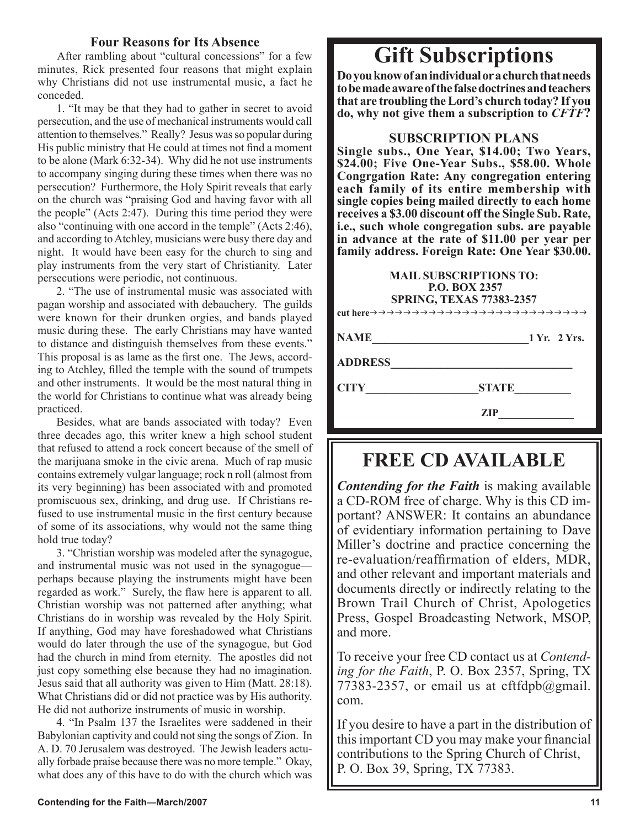### **Four Reasons for Its Absence**

 After rambling about "cultural concessions" for a few minutes, Rick presented four reasons that might explain why Christians did not use instrumental music, a fact he conceded.

1. "It may be that they had to gather in secret to avoid persecution, and the use of mechanical instruments would call attention to themselves." Really? Jesus was so popular during His public ministry that He could at times not find a moment to be alone (Mark 6:32-34). Why did he not use instruments to accompany singing during these times when there was no persecution? Furthermore, the Holy Spirit reveals that early on the church was "praising God and having favor with all the people" (Acts 2:47). During this time period they were also "continuing with one accord in the temple" (Acts 2:46), and according to Atchley, musicians were busy there day and night. It would have been easy for the church to sing and play instruments from the very start of Christianity. Later persecutions were periodic, not continuous.

2. "The use of instrumental music was associated with pagan worship and associated with debauchery. The guilds were known for their drunken orgies, and bands played music during these. The early Christians may have wanted to distance and distinguish themselves from these events." This proposal is as lame as the first one. The Jews, according to Atchley, filled the temple with the sound of trumpets and other instruments. It would be the most natural thing in the world for Christians to continue what was already being practiced.

Besides, what are bands associated with today? Even three decades ago, this writer knew a high school student that refused to attend a rock concert because of the smell of the marijuana smoke in the civic arena. Much of rap music contains extremely vulgar language; rock n roll (almost from its very beginning) has been associated with and promoted promiscuous sex, drinking, and drug use. If Christians refused to use instrumental music in the first century because of some of its associations, why would not the same thing hold true today?

3. "Christian worship was modeled after the synagogue, and instrumental music was not used in the synagogue perhaps because playing the instruments might have been regarded as work." Surely, the flaw here is apparent to all. Christian worship was not patterned after anything; what Christians do in worship was revealed by the Holy Spirit. If anything, God may have foreshadowed what Christians would do later through the use of the synagogue, but God had the church in mind from eternity. The apostles did not just copy something else because they had no imagination. Jesus said that all authority was given to Him (Matt. 28:18). What Christians did or did not practice was by His authority. He did not authorize instruments of music in worship.

4. "In Psalm 137 the Israelites were saddened in their Babylonian captivity and could not sing the songs of Zion. In A. D. 70 Jerusalem was destroyed. The Jewish leaders actually forbade praise because there was no more temple." Okay, what does any of this have to do with the church which was

# **Gift Subscriptions**

**Do you know of an individual or a church that needs to be made aware of the false doctrines and teachers that are troubling the Lord's church today? If you do, why not give them a subscription to** *CFTF***?**

### **SUBSCRIPTION PLANS**

**Single subs., One Year, \$14.00; Two Years, \$24.00; Five One-Year Subs., \$58.00. Whole Congrgation Rate: Any congregation entering each family of its entire membership with single copies being mailed directly to each home receives a \$3.00 discount off the Single Sub. Rate, i.e., such whole congregation subs. are payable in advance at the rate of \$11.00 per year per family address. Foreign Rate: One Year \$30.00.**

### **MAIL SUBSCRIPTIONS TO: P.O. BOX 2357 SPRING, TEXAS 77383-2357**

**cut here**

# **NAME** 1 Yr. 2 Yrs.

**ADDRESS\_\_\_\_\_\_\_\_\_\_\_\_\_\_\_\_\_\_\_\_\_\_\_\_\_\_\_\_\_**

**CITY\_\_\_\_\_\_\_\_\_\_\_\_\_\_\_\_\_\_STATE\_\_\_\_\_\_\_\_\_** 

 **ZIP\_\_\_\_\_\_\_\_\_\_\_\_**

## **FREE CD AVAILABLE**

*Contending for the Faith* is making available a CD-ROM free of charge. Why is this CD important? ANSWER: It contains an abundance of evidentiary information pertaining to Dave Miller's doctrine and practice concerning the re-evaluation/reaffirmation of elders, MDR, and other relevant and important materials and documents directly or indirectly relating to the Brown Trail Church of Christ, Apologetics Press, Gospel Broadcasting Network, MSOP, and more.

To receive your free CD contact us at *Contending for the Faith*, P. O. Box 2357, Spring, TX 77383-2357, or email us at cftfdpb@gmail. com.

If you desire to have a part in the distribution of this important CD you may make your financial contributions to the Spring Church of Christ, P. O. Box 39, Spring, TX 77383.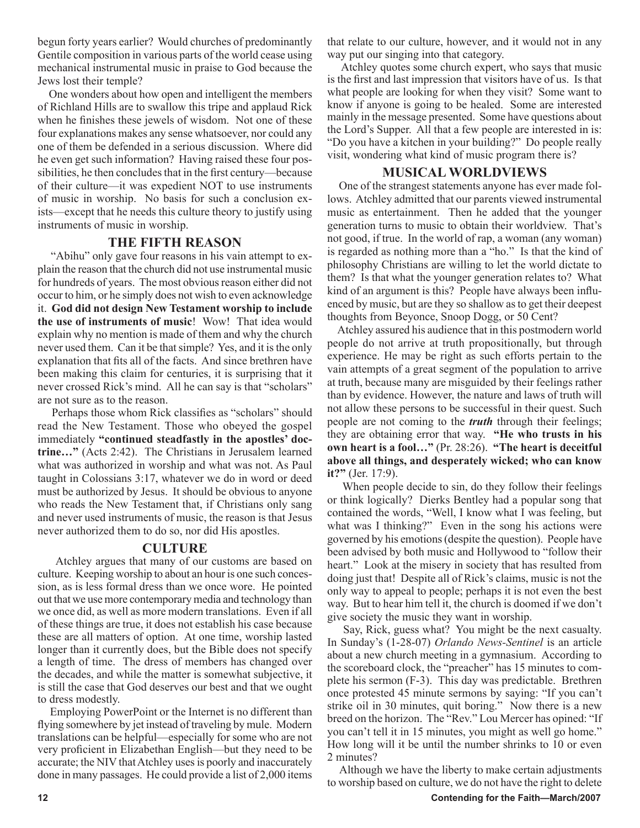begun forty years earlier? Would churches of predominantly Gentile composition in various parts of the world cease using mechanical instrumental music in praise to God because the Jews lost their temple?

 One wonders about how open and intelligent the members of Richland Hills are to swallow this tripe and applaud Rick when he finishes these jewels of wisdom. Not one of these four explanations makes any sense whatsoever, nor could any one of them be defended in a serious discussion. Where did he even get such information? Having raised these four possibilities, he then concludes that in the first century—because of their culture—it was expedient NOT to use instruments of music in worship. No basis for such a conclusion exists—except that he needs this culture theory to justify using instruments of music in worship.

### **THE FIFTH REASON**

 "Abihu" only gave four reasons in his vain attempt to explain the reason that the church did not use instrumental music for hundreds of years. The most obvious reason either did not occur to him, or he simply does not wish to even acknowledge it. **God did not design New Testament worship to include the use of instruments of music**! Wow! That idea would explain why no mention is made of them and why the church never used them. Can it be that simple? Yes, and it is the only explanation that fits all of the facts. And since brethren have been making this claim for centuries, it is surprising that it never crossed Rick's mind. All he can say is that "scholars" are not sure as to the reason.

 Perhaps those whom Rick classifies as "scholars" should read the New Testament. Those who obeyed the gospel immediately **"continued steadfastly in the apostles' doctrine…"** (Acts 2:42). The Christians in Jerusalem learned what was authorized in worship and what was not. As Paul taught in Colossians 3:17, whatever we do in word or deed must be authorized by Jesus. It should be obvious to anyone who reads the New Testament that, if Christians only sang and never used instruments of music, the reason is that Jesus never authorized them to do so, nor did His apostles.

### **CULTURE**

 Atchley argues that many of our customs are based on culture. Keeping worship to about an hour is one such concession, as is less formal dress than we once wore. He pointed out that we use more contemporary media and technology than we once did, as well as more modern translations. Even if all of these things are true, it does not establish his case because these are all matters of option. At one time, worship lasted longer than it currently does, but the Bible does not specify a length of time. The dress of members has changed over the decades, and while the matter is somewhat subjective, it is still the case that God deserves our best and that we ought to dress modestly.

 Employing PowerPoint or the Internet is no different than flying somewhere by jet instead of traveling by mule. Modern translations can be helpful—especially for some who are not very proficient in Elizabethan English—but they need to be accurate; the NIV that Atchley uses is poorly and inaccurately done in many passages. He could provide a list of 2,000 items that relate to our culture, however, and it would not in any way put our singing into that category.

 Atchley quotes some church expert, who says that music is the first and last impression that visitors have of us. Is that what people are looking for when they visit? Some want to know if anyone is going to be healed. Some are interested mainly in the message presented. Some have questions about the Lord's Supper. All that a few people are interested in is: "Do you have a kitchen in your building?" Do people really visit, wondering what kind of music program there is?

### **MUSICAL WORLDVIEWS**

 One of the strangest statements anyone has ever made follows. Atchley admitted that our parents viewed instrumental music as entertainment. Then he added that the younger generation turns to music to obtain their worldview. That's not good, if true. In the world of rap, a woman (any woman) is regarded as nothing more than a "ho." Is that the kind of philosophy Christians are willing to let the world dictate to them? Is that what the younger generation relates to? What kind of an argument is this? People have always been influenced by music, but are they so shallow as to get their deepest thoughts from Beyonce, Snoop Dogg, or 50 Cent?

 Atchley assured his audience that in this postmodern world people do not arrive at truth propositionally, but through experience. He may be right as such efforts pertain to the vain attempts of a great segment of the population to arrive at truth, because many are misguided by their feelings rather than by evidence. However, the nature and laws of truth will not allow these persons to be successful in their quest. Such people are not coming to the *truth* through their feelings; they are obtaining error that way. **"He who trusts in his own heart is a fool…"** (Pr. 28:26). **"The heart is deceitful above all things, and desperately wicked; who can know it?"** (Jer. 17:9).

 When people decide to sin, do they follow their feelings or think logically? Dierks Bentley had a popular song that contained the words, "Well, I know what I was feeling, but what was I thinking?" Even in the song his actions were governed by his emotions (despite the question). People have been advised by both music and Hollywood to "follow their heart." Look at the misery in society that has resulted from doing just that! Despite all of Rick's claims, music is not the only way to appeal to people; perhaps it is not even the best way. But to hear him tell it, the church is doomed if we don't give society the music they want in worship.

 Say, Rick, guess what? You might be the next casualty. In Sunday's (1-28-07) *Orlando News-Sentinel* is an article about a new church meeting in a gymnasium. According to the scoreboard clock, the "preacher" has 15 minutes to complete his sermon (F-3). This day was predictable. Brethren once protested 45 minute sermons by saying: "If you can't strike oil in 30 minutes, quit boring." Now there is a new breed on the horizon. The "Rev." Lou Mercer has opined: "If you can't tell it in 15 minutes, you might as well go home." How long will it be until the number shrinks to 10 or even 2 minutes?

 Although we have the liberty to make certain adjustments to worship based on culture, we do not have the right to delete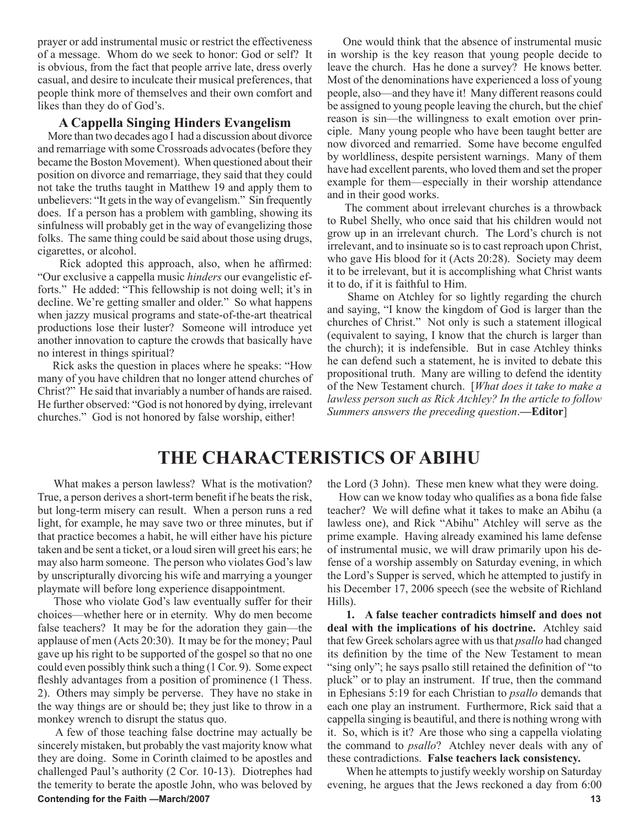prayer or add instrumental music or restrict the effectiveness of a message. Whom do we seek to honor: God or self? It is obvious, from the fact that people arrive late, dress overly casual, and desire to inculcate their musical preferences, that people think more of themselves and their own comfort and likes than they do of God's.

### **A Cappella Singing Hinders Evangelism**

 More than two decades ago I had a discussion about divorce and remarriage with some Crossroads advocates (before they became the Boston Movement). When questioned about their position on divorce and remarriage, they said that they could not take the truths taught in Matthew 19 and apply them to unbelievers: "It gets in the way of evangelism." Sin frequently does. If a person has a problem with gambling, showing its sinfulness will probably get in the way of evangelizing those folks. The same thing could be said about those using drugs, cigarettes, or alcohol.

 Rick adopted this approach, also, when he affirmed: "Our exclusive a cappella music *hinders* our evangelistic efforts." He added: "This fellowship is not doing well; it's in decline. We're getting smaller and older." So what happens when jazzy musical programs and state-of-the-art theatrical productions lose their luster? Someone will introduce yet another innovation to capture the crowds that basically have no interest in things spiritual?

 Rick asks the question in places where he speaks: "How many of you have children that no longer attend churches of Christ?" He said that invariably a number of hands are raised. He further observed: "God is not honored by dying, irrelevant churches." God is not honored by false worship, either!

 One would think that the absence of instrumental music in worship is the key reason that young people decide to leave the church. Has he done a survey? He knows better. Most of the denominations have experienced a loss of young people, also—and they have it! Many different reasons could be assigned to young people leaving the church, but the chief reason is sin—the willingness to exalt emotion over principle. Many young people who have been taught better are now divorced and remarried. Some have become engulfed by worldliness, despite persistent warnings. Many of them have had excellent parents, who loved them and set the proper example for them—especially in their worship attendance and in their good works.

 The comment about irrelevant churches is a throwback to Rubel Shelly, who once said that his children would not grow up in an irrelevant church. The Lord's church is not irrelevant, and to insinuate so is to cast reproach upon Christ, who gave His blood for it (Acts 20:28). Society may deem it to be irrelevant, but it is accomplishing what Christ wants it to do, if it is faithful to Him.

 Shame on Atchley for so lightly regarding the church and saying, "I know the kingdom of God is larger than the churches of Christ." Not only is such a statement illogical (equivalent to saying, I know that the church is larger than the church); it is indefensible. But in case Atchley thinks he can defend such a statement, he is invited to debate this propositional truth. Many are willing to defend the identity of the New Testament church. [*What does it take to make a lawless person such as Rick Atchley? In the article to follow Summers answers the preceding question*.**—Editor**]

### **THE CHARACTERISTICS OF ABIHU**

 What makes a person lawless? What is the motivation? True, a person derives a short-term benefit if he beats the risk, but long-term misery can result. When a person runs a red light, for example, he may save two or three minutes, but if that practice becomes a habit, he will either have his picture taken and be sent a ticket, or a loud siren will greet his ears; he may also harm someone. The person who violates God's law by unscripturally divorcing his wife and marrying a younger playmate will before long experience disappointment.

 Those who violate God's law eventually suffer for their choices—whether here or in eternity. Why do men become false teachers? It may be for the adoration they gain—the applause of men (Acts 20:30). It may be for the money; Paul gave up his right to be supported of the gospel so that no one could even possibly think such a thing (1 Cor. 9). Some expect fleshly advantages from a position of prominence (1 Thess. 2). Others may simply be perverse. They have no stake in the way things are or should be; they just like to throw in a monkey wrench to disrupt the status quo.

**Contending for the Faith —March/2007** 13 A few of those teaching false doctrine may actually be sincerely mistaken, but probably the vast majority know what they are doing. Some in Corinth claimed to be apostles and challenged Paul's authority (2 Cor. 10-13). Diotrephes had the temerity to berate the apostle John, who was beloved by

the Lord (3 John). These men knew what they were doing.

 How can we know today who qualifies as a bona fide false teacher? We will define what it takes to make an Abihu (a lawless one), and Rick "Abihu" Atchley will serve as the prime example. Having already examined his lame defense of instrumental music, we will draw primarily upon his defense of a worship assembly on Saturday evening, in which the Lord's Supper is served, which he attempted to justify in his December 17, 2006 speech (see the website of Richland Hills).

**1. A false teacher contradicts himself and does not deal with the implications of his doctrine.** Atchley said that few Greek scholars agree with us that *psallo* had changed its definition by the time of the New Testament to mean "sing only"; he says psallo still retained the definition of "to" pluck" or to play an instrument. If true, then the command in Ephesians 5:19 for each Christian to *psallo* demands that each one play an instrument. Furthermore, Rick said that a cappella singing is beautiful, and there is nothing wrong with it. So, which is it? Are those who sing a cappella violating the command to *psallo*? Atchley never deals with any of these contradictions. **False teachers lack consistency.**

When he attempts to justify weekly worship on Saturday evening, he argues that the Jews reckoned a day from 6:00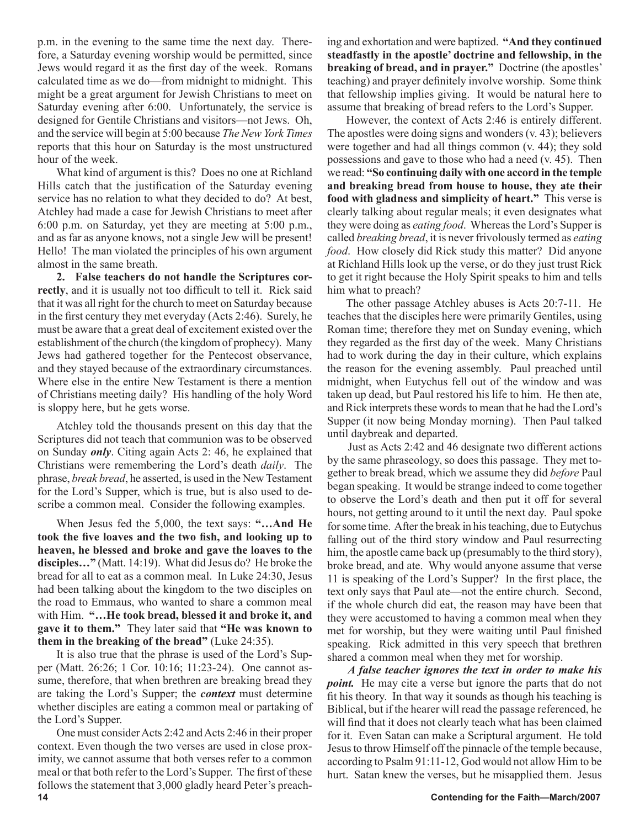p.m. in the evening to the same time the next day. Therefore, a Saturday evening worship would be permitted, since Jews would regard it as the first day of the week. Romans calculated time as we do—from midnight to midnight. This might be a great argument for Jewish Christians to meet on Saturday evening after 6:00. Unfortunately, the service is designed for Gentile Christians and visitors—not Jews. Oh, and the service will begin at 5:00 because *The New York Times* reports that this hour on Saturday is the most unstructured hour of the week.

What kind of argument is this? Does no one at Richland Hills catch that the justification of the Saturday evening service has no relation to what they decided to do? At best, Atchley had made a case for Jewish Christians to meet after 6:00 p.m. on Saturday, yet they are meeting at 5:00 p.m., and as far as anyone knows, not a single Jew will be present! Hello! The man violated the principles of his own argument almost in the same breath.

**2. False teachers do not handle the Scriptures correctly**, and it is usually not too difficult to tell it. Rick said that it was all right for the church to meet on Saturday because in the first century they met everyday (Acts 2:46). Surely, he must be aware that a great deal of excitement existed over the establishment of the church (the kingdom of prophecy). Many Jews had gathered together for the Pentecost observance, and they stayed because of the extraordinary circumstances. Where else in the entire New Testament is there a mention of Christians meeting daily? His handling of the holy Word is sloppy here, but he gets worse.

Atchley told the thousands present on this day that the Scriptures did not teach that communion was to be observed on Sunday *only*. Citing again Acts 2: 46, he explained that Christians were remembering the Lord's death *daily*. The phrase, *break bread*, he asserted, is used in the New Testament for the Lord's Supper, which is true, but is also used to describe a common meal. Consider the following examples.

When Jesus fed the 5,000, the text says: **"…And He took the five loaves and the two fish, and looking up to heaven, he blessed and broke and gave the loaves to the disciples…"** (Matt. 14:19). What did Jesus do? He broke the bread for all to eat as a common meal. In Luke 24:30, Jesus had been talking about the kingdom to the two disciples on the road to Emmaus, who wanted to share a common meal with Him. **"…He took bread, blessed it and broke it, and gave it to them."** They later said that **"He was known to them in the breaking of the bread"** (Luke 24:35).

It is also true that the phrase is used of the Lord's Supper (Matt. 26:26; 1 Cor. 10:16; 11:23-24). One cannot assume, therefore, that when brethren are breaking bread they are taking the Lord's Supper; the *context* must determine whether disciples are eating a common meal or partaking of the Lord's Supper.

One must consider Acts 2:42 and Acts 2:46 in their proper context. Even though the two verses are used in close proximity, we cannot assume that both verses refer to a common meal or that both refer to the Lord's Supper. The first of these follows the statement that 3,000 gladly heard Peter's preaching and exhortation and were baptized. **"And they continued steadfastly in the apostle' doctrine and fellowship, in the breaking of bread, and in prayer."** Doctrine (the apostles' teaching) and prayer definitely involve worship. Some think that fellowship implies giving. It would be natural here to assume that breaking of bread refers to the Lord's Supper.

However, the context of Acts 2:46 is entirely different. The apostles were doing signs and wonders (v. 43); believers were together and had all things common (v. 44); they sold possessions and gave to those who had a need (v. 45). Then we read: **"So continuing daily with one accord in the temple and breaking bread from house to house, they ate their food with gladness and simplicity of heart."** This verse is clearly talking about regular meals; it even designates what they were doing as *eating food*. Whereas the Lord's Supper is called *breaking bread*, it is never frivolously termed as *eating food*. How closely did Rick study this matter? Did anyone at Richland Hills look up the verse, or do they just trust Rick to get it right because the Holy Spirit speaks to him and tells him what to preach?

The other passage Atchley abuses is Acts 20:7-11. He teaches that the disciples here were primarily Gentiles, using Roman time; therefore they met on Sunday evening, which they regarded as the first day of the week. Many Christians had to work during the day in their culture, which explains the reason for the evening assembly. Paul preached until midnight, when Eutychus fell out of the window and was taken up dead, but Paul restored his life to him. He then ate, and Rick interprets these words to mean that he had the Lord's Supper (it now being Monday morning). Then Paul talked until daybreak and departed.

Just as Acts 2:42 and 46 designate two different actions by the same phraseology, so does this passage. They met together to break bread, which we assume they did *before* Paul began speaking. It would be strange indeed to come together to observe the Lord's death and then put it off for several hours, not getting around to it until the next day. Paul spoke for some time. After the break in his teaching, due to Eutychus falling out of the third story window and Paul resurrecting him, the apostle came back up (presumably to the third story), broke bread, and ate. Why would anyone assume that verse 11 is speaking of the Lord's Supper? In the first place, the text only says that Paul ate—not the entire church. Second, if the whole church did eat, the reason may have been that they were accustomed to having a common meal when they met for worship, but they were waiting until Paul finished speaking. Rick admitted in this very speech that brethren shared a common meal when they met for worship.

*A false teacher ignores the text in order to make his point.* He may cite a verse but ignore the parts that do not fit his theory. In that way it sounds as though his teaching is Biblical, but if the hearer will read the passage referenced, he will find that it does not clearly teach what has been claimed for it. Even Satan can make a Scriptural argument. He told Jesus to throw Himself off the pinnacle of the temple because, according to Psalm 91:11-12, God would not allow Him to be hurt. Satan knew the verses, but he misapplied them. Jesus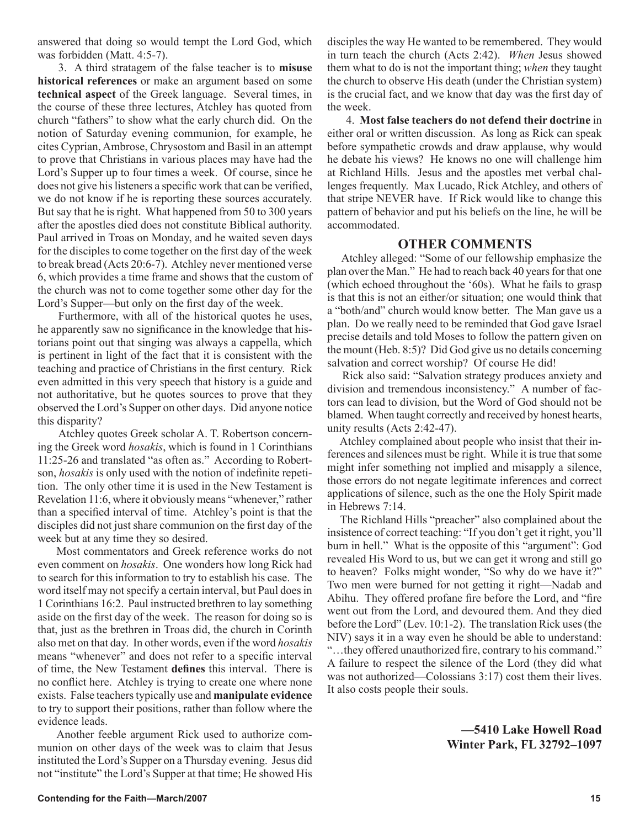answered that doing so would tempt the Lord God, which was forbidden (Matt. 4:5-7).

3. A third stratagem of the false teacher is to **misuse historical references** or make an argument based on some **technical aspect** of the Greek language. Several times, in the course of these three lectures, Atchley has quoted from church "fathers" to show what the early church did. On the notion of Saturday evening communion, for example, he cites Cyprian, Ambrose, Chrysostom and Basil in an attempt to prove that Christians in various places may have had the Lord's Supper up to four times a week. Of course, since he does not give his listeners a specific work that can be verified, we do not know if he is reporting these sources accurately. But say that he is right. What happened from 50 to 300 years after the apostles died does not constitute Biblical authority. Paul arrived in Troas on Monday, and he waited seven days for the disciples to come together on the first day of the week to break bread (Acts 20:6-7). Atchley never mentioned verse 6, which provides a time frame and shows that the custom of the church was not to come together some other day for the Lord's Supper—but only on the first day of the week.

Furthermore, with all of the historical quotes he uses, he apparently saw no significance in the knowledge that historians point out that singing was always a cappella, which is pertinent in light of the fact that it is consistent with the teaching and practice of Christians in the first century. Rick even admitted in this very speech that history is a guide and not authoritative, but he quotes sources to prove that they observed the Lord's Supper on other days. Did anyone notice this disparity?

Atchley quotes Greek scholar A. T. Robertson concerning the Greek word *hosakis*, which is found in 1 Corinthians 11:25-26 and translated "as often as." According to Robertson, *hosakis* is only used with the notion of indefinite repetition. The only other time it is used in the New Testament is Revelation 11:6, where it obviously means "whenever," rather than a specified interval of time. Atchley's point is that the disciples did not just share communion on the first day of the week but at any time they so desired.

Most commentators and Greek reference works do not even comment on *hosakis*. One wonders how long Rick had to search for this information to try to establish his case. The word itself may not specify a certain interval, but Paul does in 1 Corinthians 16:2. Paul instructed brethren to lay something aside on the first day of the week. The reason for doing so is that, just as the brethren in Troas did, the church in Corinth also met on that day. In other words, even if the word *hosakis* means "whenever" and does not refer to a specific interval of time, the New Testament **defines** this interval. There is no conflict here. Atchley is trying to create one where none exists. False teachers typically use and **manipulate evidence** to try to support their positions, rather than follow where the evidence leads.

Another feeble argument Rick used to authorize communion on other days of the week was to claim that Jesus instituted the Lord's Supper on a Thursday evening. Jesus did not "institute" the Lord's Supper at that time; He showed His disciples the way He wanted to be remembered. They would in turn teach the church (Acts 2:42). *When* Jesus showed them what to do is not the important thing; *when* they taught the church to observe His death (under the Christian system) is the crucial fact, and we know that day was the first day of the week.

4. **Most false teachers do not defend their doctrine** in either oral or written discussion. As long as Rick can speak before sympathetic crowds and draw applause, why would he debate his views? He knows no one will challenge him at Richland Hills. Jesus and the apostles met verbal challenges frequently. Max Lucado, Rick Atchley, and others of that stripe NEVER have. If Rick would like to change this pattern of behavior and put his beliefs on the line, he will be accommodated.

### **OTHER COMMENTS**

 Atchley alleged: "Some of our fellowship emphasize the plan over the Man." He had to reach back 40 years for that one (which echoed throughout the '60s). What he fails to grasp is that this is not an either/or situation; one would think that a "both/and" church would know better. The Man gave us a plan. Do we really need to be reminded that God gave Israel precise details and told Moses to follow the pattern given on the mount (Heb. 8:5)? Did God give us no details concerning salvation and correct worship? Of course He did!

 Rick also said: "Salvation strategy produces anxiety and division and tremendous inconsistency." A number of factors can lead to division, but the Word of God should not be blamed. When taught correctly and received by honest hearts, unity results (Acts 2:42-47).

 Atchley complained about people who insist that their inferences and silences must be right. While it is true that some might infer something not implied and misapply a silence, those errors do not negate legitimate inferences and correct applications of silence, such as the one the Holy Spirit made in Hebrews 7:14.

 The Richland Hills "preacher" also complained about the insistence of correct teaching: "If you don't get it right, you'll burn in hell." What is the opposite of this "argument": God revealed His Word to us, but we can get it wrong and still go to heaven? Folks might wonder, "So why do we have it?" Two men were burned for not getting it right—Nadab and Abihu. They offered profane fire before the Lord, and "fire went out from the Lord, and devoured them. And they died before the Lord" (Lev. 10:1-2). The translation Rick uses (the NIV) says it in a way even he should be able to understand: "…they offered unauthorized fire, contrary to his command." A failure to respect the silence of the Lord (they did what was not authorized—Colossians 3:17) cost them their lives. It also costs people their souls.

> **—5410 Lake Howell Road Winter Park, FL 32792–1097**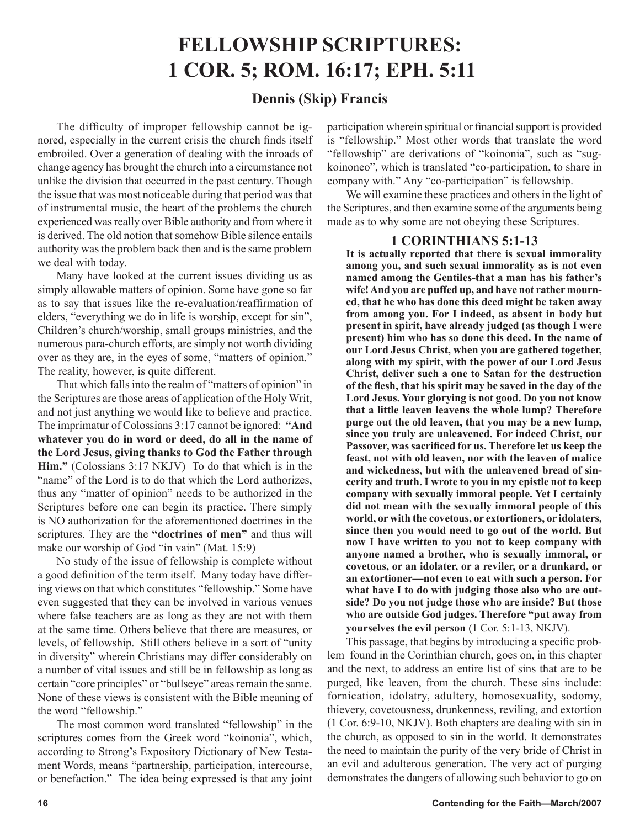# **FELLOWSHIP SCRIPTURES: 1 COR. 5; ROM. 16:17; EPH. 5:11**

### **Dennis (Skip) Francis**

The difficulty of improper fellowship cannot be ignored, especially in the current crisis the church finds itself embroiled. Over a generation of dealing with the inroads of change agency has brought the church into a circumstance not unlike the division that occurred in the past century. Though the issue that was most noticeable during that period was that of instrumental music, the heart of the problems the church experienced was really over Bible authority and from where it is derived. The old notion that somehow Bible silence entails authority was the problem back then and is the same problem we deal with today.

Many have looked at the current issues dividing us as simply allowable matters of opinion. Some have gone so far as to say that issues like the re-evaluation/reaffirmation of elders, "everything we do in life is worship, except for sin", Children's church/worship, small groups ministries, and the numerous para-church efforts, are simply not worth dividing over as they are, in the eyes of some, "matters of opinion." The reality, however, is quite different.

That which falls into the realm of "matters of opinion" in the Scriptures are those areas of application of the Holy Writ, and not just anything we would like to believe and practice. The imprimatur of Colossians 3:17 cannot be ignored: **"And whatever you do in word or deed, do all in the name of the Lord Jesus, giving thanks to God the Father through Him."** (Colossians 3:17 NKJV) To do that which is in the "name" of the Lord is to do that which the Lord authorizes, thus any "matter of opinion" needs to be authorized in the Scriptures before one can begin its practice. There simply is NO authorization for the aforementioned doctrines in the scriptures. They are the **"doctrines of men"** and thus will make our worship of God "in vain" (Mat. 15:9)

No study of the issue of fellowship is complete without a good definition of the term itself. Many today have differing views on that which constitutes "fellowship." Some have even suggested that they can be involved in various venues where false teachers are as long as they are not with them at the same time. Others believe that there are measures, or levels, of fellowship. Still others believe in a sort of "unity in diversity" wherein Christians may differ considerably on a number of vital issues and still be in fellowship as long as certain "core principles" or "bullseye" areas remain the same. None of these views is consistent with the Bible meaning of the word "fellowship."

The most common word translated "fellowship" in the scriptures comes from the Greek word "koinonia", which, according to Strong's Expository Dictionary of New Testament Words, means "partnership, participation, intercourse, or benefaction." The idea being expressed is that any joint participation wherein spiritual or financial support is provided is "fellowship." Most other words that translate the word "fellowship" are derivations of "koinonia", such as "sugkoinoneo", which is translated "co-participation, to share in company with." Any "co-participation" is fellowship.

We will examine these practices and others in the light of the Scriptures, and then examine some of the arguments being made as to why some are not obeying these Scriptures.

### **1 CORINTHIANS 5:1-13**

**It is actually reported that there is sexual immorality among you, and such sexual immorality as is not even named among the Gentiles-that a man has his father's wife! And you are puffed up, and have not rather mourned, that he who has done this deed might be taken away from among you. For I indeed, as absent in body but present in spirit, have already judged (as though I were present) him who has so done this deed. In the name of our Lord Jesus Christ, when you are gathered together, along with my spirit, with the power of our Lord Jesus Christ, deliver such a one to Satan for the destruction of the flesh, that his spirit may be saved in the day of the Lord Jesus. Your glorying is not good. Do you not know that a little leaven leavens the whole lump? Therefore purge out the old leaven, that you may be a new lump, since you truly are unleavened. For indeed Christ, our Passover, was sacrificed for us. Therefore let us keep the feast, not with old leaven, nor with the leaven of malice and wickedness, but with the unleavened bread of sincerity and truth. I wrote to you in my epistle not to keep company with sexually immoral people. Yet I certainly did not mean with the sexually immoral people of this world, or with the covetous, or extortioners, or idolaters, since then you would need to go out of the world. But now I have written to you not to keep company with anyone named a brother, who is sexually immoral, or covetous, or an idolater, or a reviler, or a drunkard, or an extortioner—not even to eat with such a person. For what have I to do with judging those also who are outside? Do you not judge those who are inside? But those who are outside God judges. Therefore "put away from yourselves the evil person** (1 Cor. 5:1-13, NKJV).

This passage, that begins by introducing a specific problem found in the Corinthian church, goes on, in this chapter and the next, to address an entire list of sins that are to be purged, like leaven, from the church. These sins include: fornication, idolatry, adultery, homosexuality, sodomy, thievery, covetousness, drunkenness, reviling, and extortion (1 Cor. 6:9-10, NKJV). Both chapters are dealing with sin in the church, as opposed to sin in the world. It demonstrates the need to maintain the purity of the very bride of Christ in an evil and adulterous generation. The very act of purging demonstrates the dangers of allowing such behavior to go on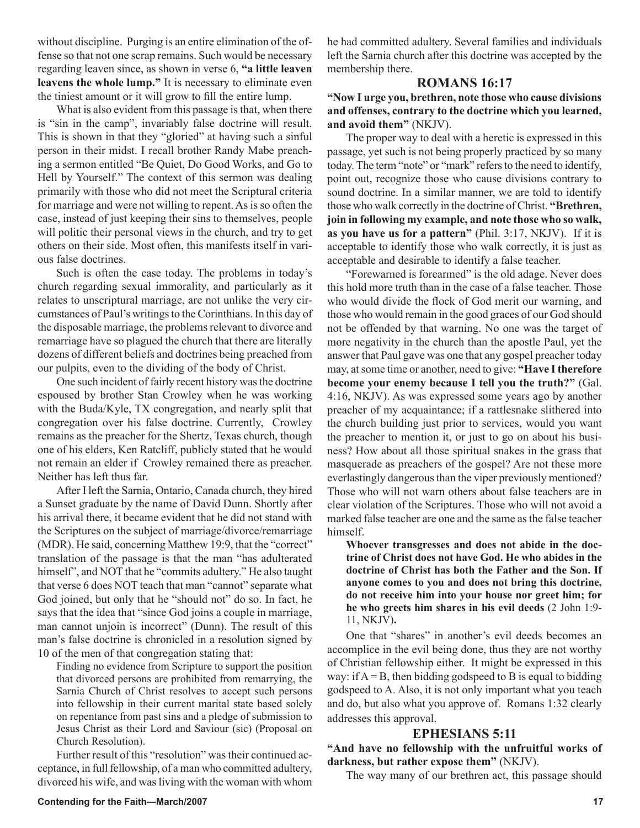without discipline. Purging is an entire elimination of the offense so that not one scrap remains. Such would be necessary regarding leaven since, as shown in verse 6, **"a little leaven leavens the whole lump."** It is necessary to eliminate even the tiniest amount or it will grow to fill the entire lump.

What is also evident from this passage is that, when there is "sin in the camp", invariably false doctrine will result. This is shown in that they "gloried" at having such a sinful person in their midst. I recall brother Randy Mabe preaching a sermon entitled "Be Quiet, Do Good Works, and Go to Hell by Yourself." The context of this sermon was dealing primarily with those who did not meet the Scriptural criteria for marriage and were not willing to repent. As is so often the case, instead of just keeping their sins to themselves, people will politic their personal views in the church, and try to get others on their side. Most often, this manifests itself in various false doctrines.

Such is often the case today. The problems in today's church regarding sexual immorality, and particularly as it relates to unscriptural marriage, are not unlike the very circumstances of Paul's writings to the Corinthians. In this day of the disposable marriage, the problems relevant to divorce and remarriage have so plagued the church that there are literally dozens of different beliefs and doctrines being preached from our pulpits, even to the dividing of the body of Christ.

One such incident of fairly recent history was the doctrine espoused by brother Stan Crowley when he was working with the Buda/Kyle, TX congregation, and nearly split that congregation over his false doctrine. Currently, Crowley remains as the preacher for the Shertz, Texas church, though one of his elders, Ken Ratcliff, publicly stated that he would not remain an elder if Crowley remained there as preacher. Neither has left thus far.

After I left the Sarnia, Ontario, Canada church, they hired a Sunset graduate by the name of David Dunn. Shortly after his arrival there, it became evident that he did not stand with the Scriptures on the subject of marriage/divorce/remarriage (MDR). He said, concerning Matthew 19:9, that the "correct" translation of the passage is that the man "has adulterated himself", and NOT that he "commits adultery." He also taught that verse 6 does NOT teach that man "cannot" separate what God joined, but only that he "should not" do so. In fact, he says that the idea that "since God joins a couple in marriage, man cannot unjoin is incorrect" (Dunn). The result of this man's false doctrine is chronicled in a resolution signed by 10 of the men of that congregation stating that:

Finding no evidence from Scripture to support the position that divorced persons are prohibited from remarrying, the Sarnia Church of Christ resolves to accept such persons into fellowship in their current marital state based solely on repentance from past sins and a pledge of submission to Jesus Christ as their Lord and Saviour (sic) (Proposal on Church Resolution).

Further result of this "resolution" was their continued acceptance, in full fellowship, of a man who committed adultery, divorced his wife, and was living with the woman with whom

he had committed adultery. Several families and individuals left the Sarnia church after this doctrine was accepted by the membership there.

### **ROMANS 16:17**

**"Now I urge you, brethren, note those who cause divisions and offenses, contrary to the doctrine which you learned, and avoid them"** (NKJV).

The proper way to deal with a heretic is expressed in this passage, yet such is not being properly practiced by so many today. The term "note" or "mark" refers to the need to identify, point out, recognize those who cause divisions contrary to sound doctrine. In a similar manner, we are told to identify those who walk correctly in the doctrine of Christ. **"Brethren, join in following my example, and note those who so walk, as you have us for a pattern"** (Phil. 3:17, NKJV). If it is acceptable to identify those who walk correctly, it is just as acceptable and desirable to identify a false teacher.

"Forewarned is forearmed" is the old adage. Never does this hold more truth than in the case of a false teacher. Those who would divide the flock of God merit our warning, and those who would remain in the good graces of our God should not be offended by that warning. No one was the target of more negativity in the church than the apostle Paul, yet the answer that Paul gave was one that any gospel preacher today may, at some time or another, need to give: **"Have I therefore become your enemy because I tell you the truth?"** (Gal. 4:16, NKJV). As was expressed some years ago by another preacher of my acquaintance; if a rattlesnake slithered into the church building just prior to services, would you want the preacher to mention it, or just to go on about his business? How about all those spiritual snakes in the grass that masquerade as preachers of the gospel? Are not these more everlastingly dangerous than the viper previously mentioned? Those who will not warn others about false teachers are in clear violation of the Scriptures. Those who will not avoid a marked false teacher are one and the same as the false teacher himself.

**Whoever transgresses and does not abide in the doctrine of Christ does not have God. He who abides in the doctrine of Christ has both the Father and the Son. If anyone comes to you and does not bring this doctrine, do not receive him into your house nor greet him; for he who greets him shares in his evil deeds** (2 John 1:9- 11, NKJV)**.**

One that "shares" in another's evil deeds becomes an accomplice in the evil being done, thus they are not worthy of Christian fellowship either. It might be expressed in this way: if  $A = B$ , then bidding godspeed to B is equal to bidding godspeed to A. Also, it is not only important what you teach and do, but also what you approve of. Romans 1:32 clearly addresses this approval.

### **EPHESIANS 5:11**

**"And have no fellowship with the unfruitful works of darkness, but rather expose them"** (NKJV).

The way many of our brethren act, this passage should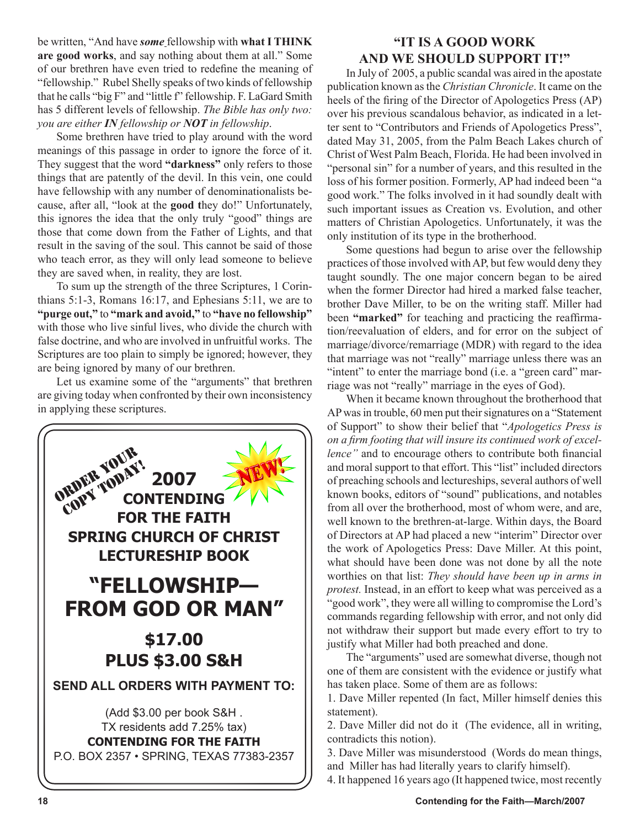be written, "And have *some* fellowship with **what I THINK are good works**, and say nothing about them at all." Some of our brethren have even tried to redefine the meaning of "fellowship." Rubel Shelly speaks of two kinds of fellowship that he calls "big F" and "little f" fellowship. F. LaGard Smith has 5 different levels of fellowship. *The Bible has only two: you are either IN fellowship or NOT in fellowship*.

Some brethren have tried to play around with the word meanings of this passage in order to ignore the force of it. They suggest that the word **"darkness"** only refers to those things that are patently of the devil. In this vein, one could have fellowship with any number of denominationalists because, after all, "look at the **good t**hey do!" Unfortunately, this ignores the idea that the only truly "good" things are those that come down from the Father of Lights, and that result in the saving of the soul. This cannot be said of those who teach error, as they will only lead someone to believe they are saved when, in reality, they are lost.

To sum up the strength of the three Scriptures, 1 Corinthians 5:1-3, Romans 16:17, and Ephesians 5:11, we are to **"purge out,"** to **"mark and avoid,"** to **"have no fellowship"** with those who live sinful lives, who divide the church with false doctrine, and who are involved in unfruitful works. The Scriptures are too plain to simply be ignored; however, they are being ignored by many of our brethren.

Let us examine some of the "arguments" that brethren are giving today when confronted by their own inconsistency in applying these scriptures.



### **"IT IS A GOOD WORK AND WE SHOULD SUPPORT IT!"**

In July of 2005, a public scandal was aired in the apostate publication known as the *Christian Chronicle*. It came on the heels of the firing of the Director of Apologetics Press (AP) over his previous scandalous behavior, as indicated in a letter sent to "Contributors and Friends of Apologetics Press", dated May 31, 2005, from the Palm Beach Lakes church of Christ of West Palm Beach, Florida. He had been involved in "personal sin" for a number of years, and this resulted in the loss of his former position. Formerly, AP had indeed been "a good work." The folks involved in it had soundly dealt with such important issues as Creation vs. Evolution, and other matters of Christian Apologetics. Unfortunately, it was the only institution of its type in the brotherhood.

Some questions had begun to arise over the fellowship practices of those involved with AP, but few would deny they taught soundly. The one major concern began to be aired when the former Director had hired a marked false teacher, brother Dave Miller, to be on the writing staff. Miller had been **"marked"** for teaching and practicing the reaffirmation/reevaluation of elders, and for error on the subject of marriage/divorce/remarriage (MDR) with regard to the idea that marriage was not "really" marriage unless there was an "intent" to enter the marriage bond (i.e. a "green card" marriage was not "really" marriage in the eyes of God).

When it became known throughout the brotherhood that AP was in trouble, 60 men put their signatures on a "Statement of Support" to show their belief that "*Apologetics Press is on a firm footing that will insure its continued work of excellence"* and to encourage others to contribute both financial and moral support to that effort. This "list" included directors of preaching schools and lectureships, several authors of well known books, editors of "sound" publications, and notables from all over the brotherhood, most of whom were, and are, well known to the brethren-at-large. Within days, the Board of Directors at AP had placed a new "interim" Director over the work of Apologetics Press: Dave Miller. At this point, what should have been done was not done by all the note worthies on that list: *They should have been up in arms in protest.* Instead, in an effort to keep what was perceived as a "good work", they were all willing to compromise the Lord's commands regarding fellowship with error, and not only did not withdraw their support but made every effort to try to justify what Miller had both preached and done.

The "arguments" used are somewhat diverse, though not one of them are consistent with the evidence or justify what has taken place. Some of them are as follows:

1. Dave Miller repented (In fact, Miller himself denies this statement).

2. Dave Miller did not do it (The evidence, all in writing, contradicts this notion).

3. Dave Miller was misunderstood (Words do mean things, and Miller has had literally years to clarify himself).

4. It happened 16 years ago (It happened twice, most recently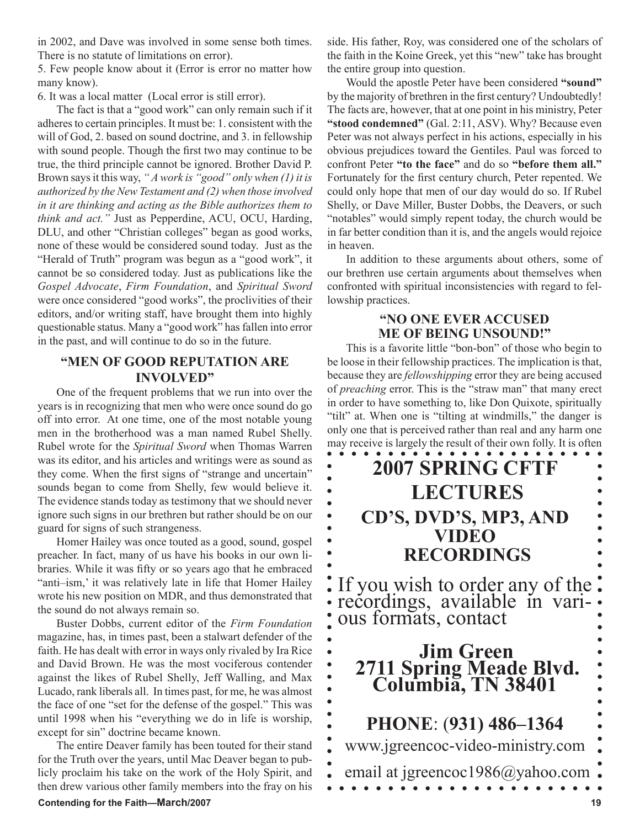in 2002, and Dave was involved in some sense both times. There is no statute of limitations on error).

5. Few people know about it (Error is error no matter how many know).

6. It was a local matter (Local error is still error).

The fact is that a "good work" can only remain such if it adheres to certain principles. It must be: 1. consistent with the will of God, 2. based on sound doctrine, and 3. in fellowship with sound people. Though the first two may continue to be true, the third principle cannot be ignored. Brother David P. Brown says it this way, *" A work is "good" only when (1) it is authorized by the New Testament and (2) when those involved in it are thinking and acting as the Bible authorizes them to think and act."* Just as Pepperdine, ACU, OCU, Harding, DLU, and other "Christian colleges" began as good works, none of these would be considered sound today. Just as the "Herald of Truth" program was begun as a "good work", it cannot be so considered today. Just as publications like the *Gospel Advocate*, *Firm Foundation*, and *Spiritual Sword*  were once considered "good works", the proclivities of their editors, and/or writing staff, have brought them into highly questionable status. Many a "good work" has fallen into error in the past, and will continue to do so in the future.

### **"MEN OF GOOD REPUTATION ARE INVOLVED"**

One of the frequent problems that we run into over the years is in recognizing that men who were once sound do go off into error. At one time, one of the most notable young men in the brotherhood was a man named Rubel Shelly. Rubel wrote for the *Spiritual Sword* when Thomas Warren was its editor, and his articles and writings were as sound as they come. When the first signs of "strange and uncertain" sounds began to come from Shelly, few would believe it. The evidence stands today as testimony that we should never ignore such signs in our brethren but rather should be on our guard for signs of such strangeness.

Homer Hailey was once touted as a good, sound, gospel preacher. In fact, many of us have his books in our own libraries. While it was fifty or so years ago that he embraced "anti–ism,' it was relatively late in life that Homer Hailey wrote his new position on MDR, and thus demonstrated that the sound do not always remain so.

Buster Dobbs, current editor of the *Firm Foundation*  magazine, has, in times past, been a stalwart defender of the faith. He has dealt with error in ways only rivaled by Ira Rice and David Brown. He was the most vociferous contender against the likes of Rubel Shelly, Jeff Walling, and Max Lucado, rank liberals all. In times past, for me, he was almost the face of one "set for the defense of the gospel." This was until 1998 when his "everything we do in life is worship, except for sin" doctrine became known.

The entire Deaver family has been touted for their stand for the Truth over the years, until Mac Deaver began to publicly proclaim his take on the work of the Holy Spirit, and then drew various other family members into the fray on his

### **Contending for the Faith—March/2007** 19

side. His father, Roy, was considered one of the scholars of the faith in the Koine Greek, yet this "new" take has brought the entire group into question.

Would the apostle Peter have been considered **"sound"** by the majority of brethren in the first century? Undoubtedly! The facts are, however, that at one point in his ministry, Peter **"stood condemned"** (Gal. 2:11, ASV). Why? Because even Peter was not always perfect in his actions, especially in his obvious prejudices toward the Gentiles. Paul was forced to confront Peter **"to the face"** and do so **"before them all."** Fortunately for the first century church, Peter repented. We could only hope that men of our day would do so. If Rubel Shelly, or Dave Miller, Buster Dobbs, the Deavers, or such "notables" would simply repent today, the church would be in far better condition than it is, and the angels would rejoice in heaven.

In addition to these arguments about others, some of our brethren use certain arguments about themselves when confronted with spiritual inconsistencies with regard to fellowship practices.

### **"NO ONE EVER ACCUSED ME OF BEING UNSOUND!"**

This is a favorite little "bon-bon" of those who begin to be loose in their fellowship practices. The implication is that, because they are *fellowshipping* error they are being accused of *preaching* error. This is the "straw man" that many erect in order to have something to, like Don Quixote, spiritually "tilt" at. When one is "tilting at windmills," the danger is only one that is perceived rather than real and any harm one may receive is largely the result of their own folly. It is often



 $\bullet$ 

 $\bullet$  $\bullet$  $\bullet$ 

 $\bullet$  $\bullet$  $\bullet$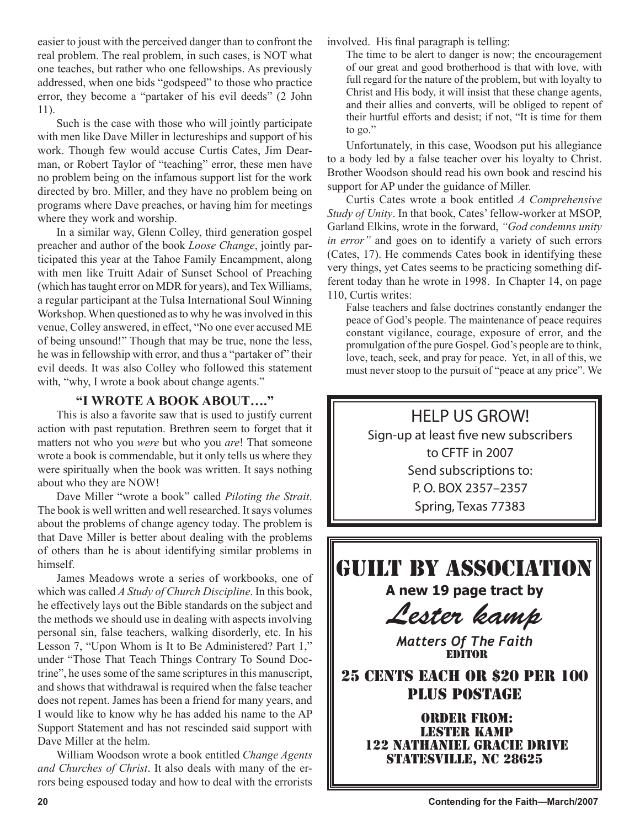easier to joust with the perceived danger than to confront the real problem. The real problem, in such cases, is NOT what one teaches, but rather who one fellowships. As previously addressed, when one bids "godspeed" to those who practice error, they become a "partaker of his evil deeds" (2 John 11).

Such is the case with those who will jointly participate with men like Dave Miller in lectureships and support of his work. Though few would accuse Curtis Cates, Jim Dearman, or Robert Taylor of "teaching" error, these men have no problem being on the infamous support list for the work directed by bro. Miller, and they have no problem being on programs where Dave preaches, or having him for meetings where they work and worship.

In a similar way, Glenn Colley, third generation gospel preacher and author of the book *Loose Change*, jointly participated this year at the Tahoe Family Encampment, along with men like Truitt Adair of Sunset School of Preaching (which has taught error on MDR for years), and Tex Williams, a regular participant at the Tulsa International Soul Winning Workshop. When questioned as to why he was involved in this venue, Colley answered, in effect, "No one ever accused ME of being unsound!" Though that may be true, none the less, he was in fellowship with error, and thus a "partaker of" their evil deeds. It was also Colley who followed this statement with, "why, I wrote a book about change agents."

### **"I WROTE A BOOK ABOUT…."**

This is also a favorite saw that is used to justify current action with past reputation. Brethren seem to forget that it matters not who you *were* but who you *are*! That someone wrote a book is commendable, but it only tells us where they were spiritually when the book was written. It says nothing about who they are NOW!

Dave Miller "wrote a book" called *Piloting the Strait*. The book is well written and well researched. It says volumes about the problems of change agency today. The problem is that Dave Miller is better about dealing with the problems of others than he is about identifying similar problems in himself.

James Meadows wrote a series of workbooks, one of which was called *A Study of Church Discipline*. In this book, he effectively lays out the Bible standards on the subject and the methods we should use in dealing with aspects involving personal sin, false teachers, walking disorderly, etc. In his Lesson 7, "Upon Whom is It to Be Administered? Part 1," under "Those That Teach Things Contrary To Sound Doctrine", he uses some of the same scriptures in this manuscript, and shows that withdrawal is required when the false teacher does not repent. James has been a friend for many years, and I would like to know why he has added his name to the AP Support Statement and has not rescinded said support with Dave Miller at the helm.

William Woodson wrote a book entitled *Change Agents and Churches of Christ*. It also deals with many of the errors being espoused today and how to deal with the errorists involved. His final paragraph is telling:

The time to be alert to danger is now; the encouragement of our great and good brotherhood is that with love, with full regard for the nature of the problem, but with loyalty to Christ and His body, it will insist that these change agents, and their allies and converts, will be obliged to repent of their hurtful efforts and desist; if not, "It is time for them to go."

Unfortunately, in this case, Woodson put his allegiance to a body led by a false teacher over his loyalty to Christ. Brother Woodson should read his own book and rescind his support for AP under the guidance of Miller.

Curtis Cates wrote a book entitled *A Comprehensive Study of Unity*. In that book, Cates' fellow-worker at MSOP, Garland Elkins, wrote in the forward, *"God condemns unity in error"* and goes on to identify a variety of such errors (Cates, 17). He commends Cates book in identifying these very things, yet Cates seems to be practicing something different today than he wrote in 1998. In Chapter 14, on page 110, Curtis writes:

False teachers and false doctrines constantly endanger the peace of God's people. The maintenance of peace requires constant vigilance, courage, exposure of error, and the promulgation of the pure Gospel. God's people are to think, love, teach, seek, and pray for peace. Yet, in all of this, we must never stoop to the pursuit of "peace at any price". We



*Matters Of The Faith* EDITOR

25 CENTS EACH OR \$20 PER 100 PLUS POSTAGE

> ORDER FROM: Lester Kamp 122 Nathaniel Gracie Drive STATESVILLE, NC 28625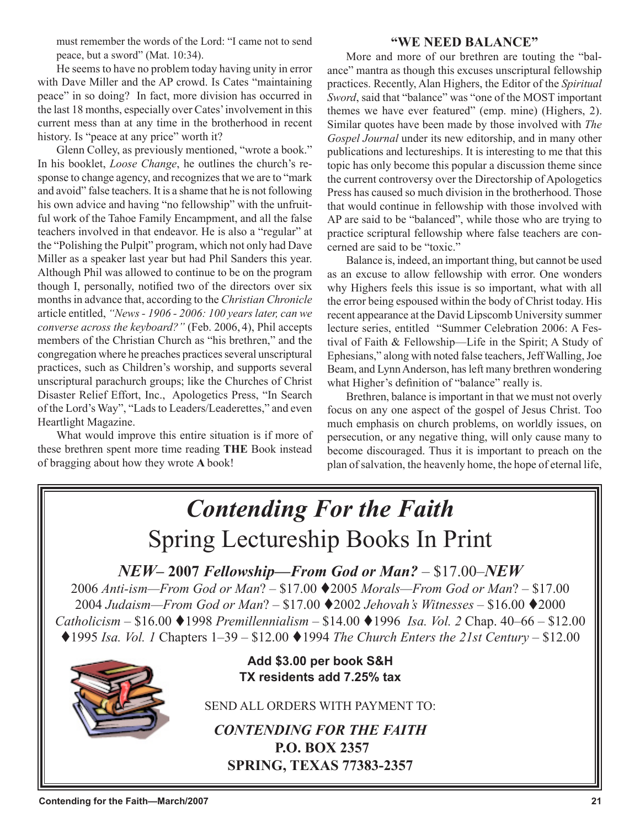must remember the words of the Lord: "I came not to send peace, but a sword" (Mat. 10:34).

He seems to have no problem today having unity in error with Dave Miller and the AP crowd. Is Cates "maintaining peace" in so doing? In fact, more division has occurred in the last 18 months, especially over Cates' involvement in this current mess than at any time in the brotherhood in recent history. Is "peace at any price" worth it?

Glenn Colley, as previously mentioned, "wrote a book." In his booklet, *Loose Change*, he outlines the church's response to change agency, and recognizes that we are to "mark and avoid" false teachers. It is a shame that he is not following his own advice and having "no fellowship" with the unfruitful work of the Tahoe Family Encampment, and all the false teachers involved in that endeavor. He is also a "regular" at the "Polishing the Pulpit" program, which not only had Dave Miller as a speaker last year but had Phil Sanders this year. Although Phil was allowed to continue to be on the program though I, personally, notified two of the directors over six months in advance that, according to the *Christian Chronicle* article entitled, *"News - 1906 - 2006: 100 years later, can we converse across the keyboard?"* (Feb. 2006, 4), Phil accepts members of the Christian Church as "his brethren," and the congregation where he preaches practices several unscriptural practices, such as Children's worship, and supports several unscriptural parachurch groups; like the Churches of Christ Disaster Relief Effort, Inc., Apologetics Press, "In Search of the Lord's Way", "Lads to Leaders/Leaderettes," and even Heartlight Magazine.

What would improve this entire situation is if more of these brethren spent more time reading **THE** Book instead of bragging about how they wrote **A** book!

### **"WE NEED BALANCE"**

More and more of our brethren are touting the "balance" mantra as though this excuses unscriptural fellowship practices. Recently, Alan Highers, the Editor of the *Spiritual Sword*, said that "balance" was "one of the MOST important themes we have ever featured" (emp. mine) (Highers, 2). Similar quotes have been made by those involved with *The Gospel Journal* under its new editorship, and in many other publications and lectureships. It is interesting to me that this topic has only become this popular a discussion theme since the current controversy over the Directorship of Apologetics Press has caused so much division in the brotherhood. Those that would continue in fellowship with those involved with AP are said to be "balanced", while those who are trying to practice scriptural fellowship where false teachers are concerned are said to be "toxic."

Balance is, indeed, an important thing, but cannot be used as an excuse to allow fellowship with error. One wonders why Highers feels this issue is so important, what with all the error being espoused within the body of Christ today. His recent appearance at the David Lipscomb University summer lecture series, entitled "Summer Celebration 2006: A Festival of Faith & Fellowship—Life in the Spirit; A Study of Ephesians," along with noted false teachers, Jeff Walling, Joe Beam, and Lynn Anderson, has left many brethren wondering what Higher's definition of "balance" really is.

Brethren, balance is important in that we must not overly focus on any one aspect of the gospel of Jesus Christ. Too much emphasis on church problems, on worldly issues, on persecution, or any negative thing, will only cause many to become discouraged. Thus it is important to preach on the plan of salvation, the heavenly home, the hope of eternal life,

# *Contending For the Faith* Spring Lectureship Books In Print

*NEW–* **2007** *Fellowship—From God or Man?* – \$17.00–*NEW*

2006 *Anti-ism—From God or Man*? – \$17.00 2005 *Morals—From God or Man*? – \$17.00 2004 *Judaism—From God or Man*? – \$17.00 2002 *Jehovah's Witnesses –* \$16.00 2000 *Catholicism –* \$16.00 1998 *Premillennialism –* \$14.00 1996 *Isa. Vol. 2* Chap. 40–66 – \$12.00  $\triangle$  1995 *Isa. Vol. 1* Chapters  $1-39 - $12.00 \triangle$  1994 *The Church Enters the 21st Century* – \$12.00



**Add \$3.00 per book S&H TX residents add 7.25% tax**

SEND ALL ORDERS WITH PAYMENT TO:

*CONTENDING FOR THE FAITH* **P.O. BOX 2357 SPRING, TEXAS 77383-2357**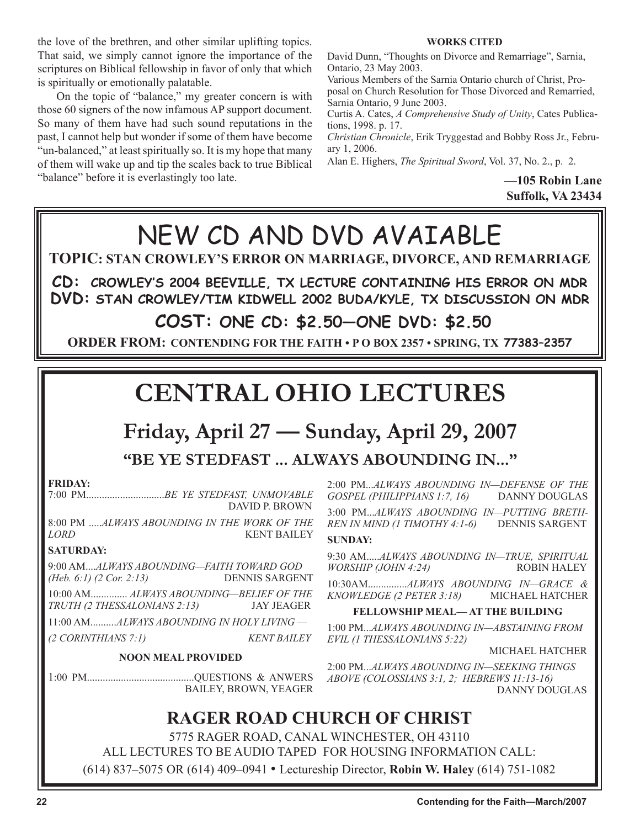the love of the brethren, and other similar uplifting topics. That said, we simply cannot ignore the importance of the scriptures on Biblical fellowship in favor of only that which is spiritually or emotionally palatable.

On the topic of "balance," my greater concern is with those 60 signers of the now infamous AP support document. So many of them have had such sound reputations in the past, I cannot help but wonder if some of them have become "un-balanced," at least spiritually so. It is my hope that many of them will wake up and tip the scales back to true Biblical "balance" before it is everlastingly too late.

**WORKS CITED**

David Dunn, "Thoughts on Divorce and Remarriage", Sarnia, Ontario, 23 May 2003.

Various Members of the Sarnia Ontario church of Christ, Proposal on Church Resolution for Those Divorced and Remarried, Sarnia Ontario, 9 June 2003.

Curtis A. Cates, *A Comprehensive Study of Unity*, Cates Publications, 1998. p. 17.

*Christian Chronicle*, Erik Tryggestad and Bobby Ross Jr., February 1, 2006.

Alan E. Highers, *The Spiritual Sword*, Vol. 37, No. 2., p. 2.

**—105 Robin Lane Suffolk, VA 23434**



5775 RAGER ROAD, CANAL WINCHESTER, OH 43110 ALL LECTURES TO BE AUDIO TAPED FOR HOUSING INFORMATION CALL: (614) 837–5075 OR (614) 409–0941 • Lectureship Director, **Robin W. Haley** (614) 751-1082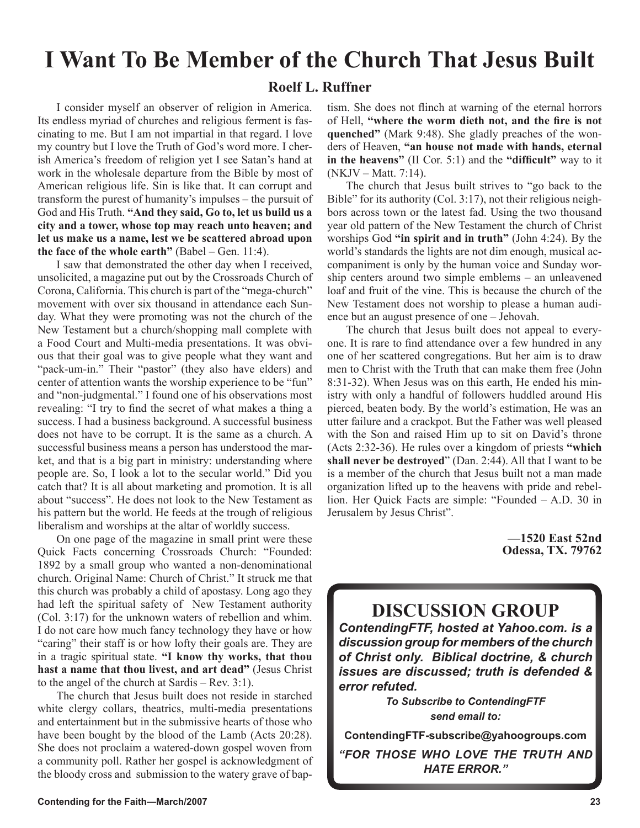# **I Want To Be Member of the Church That Jesus Built**

### **Roelf L. Ruffner**

I consider myself an observer of religion in America. Its endless myriad of churches and religious ferment is fascinating to me. But I am not impartial in that regard. I love my country but I love the Truth of God's word more. I cherish America's freedom of religion yet I see Satan's hand at work in the wholesale departure from the Bible by most of American religious life. Sin is like that. It can corrupt and transform the purest of humanity's impulses – the pursuit of God and His Truth. **"And they said, Go to, let us build us a city and a tower, whose top may reach unto heaven; and let us make us a name, lest we be scattered abroad upon the face of the whole earth"** (Babel – Gen. 11:4).

I saw that demonstrated the other day when I received, unsolicited, a magazine put out by the Crossroads Church of Corona, California. This church is part of the "mega-church" movement with over six thousand in attendance each Sunday. What they were promoting was not the church of the New Testament but a church/shopping mall complete with a Food Court and Multi-media presentations. It was obvious that their goal was to give people what they want and "pack-um-in." Their "pastor" (they also have elders) and center of attention wants the worship experience to be "fun" and "non-judgmental." I found one of his observations most revealing: "I try to find the secret of what makes a thing a success. I had a business background. A successful business does not have to be corrupt. It is the same as a church. A successful business means a person has understood the market, and that is a big part in ministry: understanding where people are. So, I look a lot to the secular world." Did you catch that? It is all about marketing and promotion. It is all about "success". He does not look to the New Testament as his pattern but the world. He feeds at the trough of religious liberalism and worships at the altar of worldly success.

On one page of the magazine in small print were these Quick Facts concerning Crossroads Church: "Founded: 1892 by a small group who wanted a non-denominational church. Original Name: Church of Christ." It struck me that this church was probably a child of apostasy. Long ago they had left the spiritual safety of New Testament authority (Col. 3:17) for the unknown waters of rebellion and whim. I do not care how much fancy technology they have or how "caring" their staff is or how lofty their goals are. They are in a tragic spiritual state. **"I know thy works, that thou hast a name that thou livest, and art dead"** (Jesus Christ to the angel of the church at Sardis – Rev. 3:1).

The church that Jesus built does not reside in starched white clergy collars, theatrics, multi-media presentations and entertainment but in the submissive hearts of those who have been bought by the blood of the Lamb (Acts 20:28). She does not proclaim a watered-down gospel woven from a community poll. Rather her gospel is acknowledgment of the bloody cross and submission to the watery grave of baptism. She does not flinch at warning of the eternal horrors of Hell, **"where the worm dieth not, and the fire is not quenched"** (Mark 9:48). She gladly preaches of the wonders of Heaven, **"an house not made with hands, eternal in the heavens"** (II Cor. 5:1) and the **"difficult"** way to it (NKJV – Matt. 7:14).

The church that Jesus built strives to "go back to the Bible" for its authority (Col. 3:17), not their religious neighbors across town or the latest fad. Using the two thousand year old pattern of the New Testament the church of Christ worships God **"in spirit and in truth"** (John 4:24). By the world's standards the lights are not dim enough, musical accompaniment is only by the human voice and Sunday worship centers around two simple emblems – an unleavened loaf and fruit of the vine. This is because the church of the New Testament does not worship to please a human audience but an august presence of one – Jehovah.

The church that Jesus built does not appeal to everyone. It is rare to find attendance over a few hundred in any one of her scattered congregations. But her aim is to draw men to Christ with the Truth that can make them free (John 8:31-32). When Jesus was on this earth, He ended his ministry with only a handful of followers huddled around His pierced, beaten body. By the world's estimation, He was an utter failure and a crackpot. But the Father was well pleased with the Son and raised Him up to sit on David's throne (Acts 2:32-36). He rules over a kingdom of priests **"which shall never be destroyed**" (Dan. 2:44). All that I want to be is a member of the church that Jesus built not a man made organization lifted up to the heavens with pride and rebellion. Her Quick Facts are simple: "Founded – A.D. 30 in Jerusalem by Jesus Christ".

> **—1520 East 52nd Odessa, TX. 79762**

### **DISCUSSION GROUP**

*ContendingFTF, hosted at Yahoo.com. is a discussion group for members of the church of Christ only. Biblical doctrine, & church issues are discussed; truth is defended & error refuted.*

> *To Subscribe to ContendingFTF send email to:*

**ContendingFTF-subscribe@yahoogroups.com**

*"FOR THOSE WHO LOVE THE TRUTH AND HATE ERROR."*